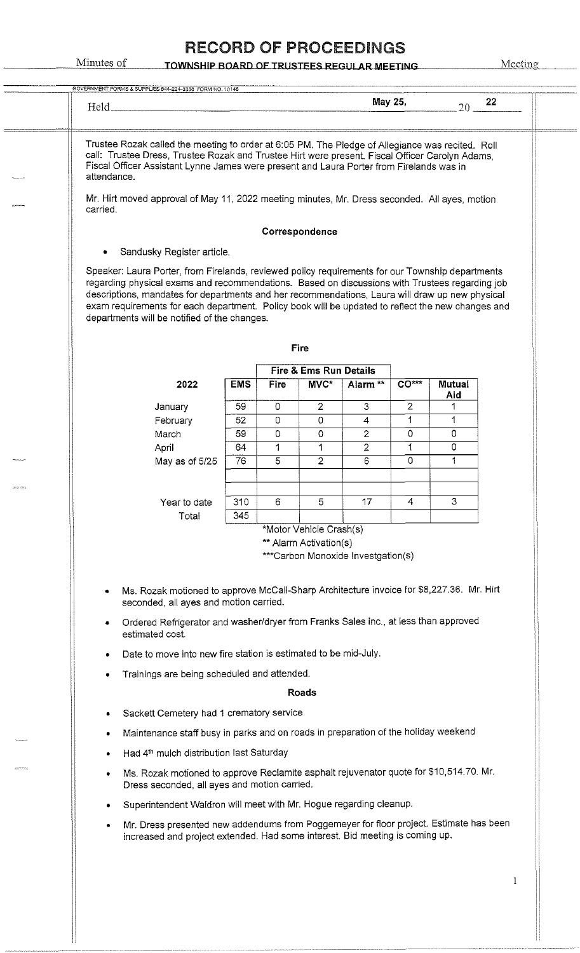#### Minutes of TOWNSHIP BOARD OF TRUSTEES REGULAR MEETING Meeting

 $\frac{1}{\sqrt{1-\frac{1}{2}}\left(1-\frac{1}{2}\right)}\frac{1}{\sqrt{1-\frac{1}{2}}\left(1-\frac{1}{2}\right)}\frac{1}{\sqrt{1-\frac{1}{2}}\left(1-\frac{1}{2}\right)}\frac{1}{\sqrt{1-\frac{1}{2}}\left(1-\frac{1}{2}\right)}\frac{1}{\sqrt{1-\frac{1}{2}}\left(1-\frac{1}{2}\right)}\frac{1}{\sqrt{1-\frac{1}{2}}\left(1-\frac{1}{2}\right)}\frac{1}{\sqrt{1-\frac{1}{2}}\left(1-\frac{1}{2}\right)}\frac{1}{\sqrt{1-\frac{1}{2}}\$ 

| Held_                                                                                                                                                                                                                                                                                                                                                                                                                                                      |            |             |                                | May 25,                            |                | 20 <sup>°</sup> | 22 |
|------------------------------------------------------------------------------------------------------------------------------------------------------------------------------------------------------------------------------------------------------------------------------------------------------------------------------------------------------------------------------------------------------------------------------------------------------------|------------|-------------|--------------------------------|------------------------------------|----------------|-----------------|----|
| Trustee Rozak called the meeting to order at 6:05 PM. The Pledge of Allegiance was recited. Roll<br>call: Trustee Dress, Trustee Rozak and Trustee Hirt were present. Fiscal Officer Carolyn Adams,<br>Fiscal Officer Assistant Lynne James were present and Laura Porter from Firelands was in<br>attendance.                                                                                                                                             |            |             |                                |                                    |                |                 |    |
| Mr. Hirt moved approval of May 11, 2022 meeting minutes, Mr. Dress seconded. All ayes, motion<br>carried.                                                                                                                                                                                                                                                                                                                                                  |            |             |                                |                                    |                |                 |    |
|                                                                                                                                                                                                                                                                                                                                                                                                                                                            |            |             | Correspondence                 |                                    |                |                 |    |
| Sandusky Register article.<br>٠                                                                                                                                                                                                                                                                                                                                                                                                                            |            |             |                                |                                    |                |                 |    |
| Speaker: Laura Porter, from Firelands, reviewed policy requirements for our Township departments<br>regarding physical exams and recommendations. Based on discussions with Trustees regarding job<br>descriptions, mandates for departments and her recommendations, Laura will draw up new physical<br>exam requirements for each department. Policy book will be updated to reflect the new changes and<br>departments will be notified of the changes. |            |             |                                |                                    |                |                 |    |
|                                                                                                                                                                                                                                                                                                                                                                                                                                                            |            |             | <b>Fire</b>                    |                                    |                |                 |    |
| 2022                                                                                                                                                                                                                                                                                                                                                                                                                                                       | <b>EMS</b> | <b>Fire</b> | Fire & Ems Run Details<br>MVC* | Alarm **                           | $CO***$        | Mutual          |    |
| January                                                                                                                                                                                                                                                                                                                                                                                                                                                    | 59         | $\mathbf 0$ | $\overline{2}$                 | $\mathbf{3}$                       | $\overline{2}$ | Aid             |    |
| February                                                                                                                                                                                                                                                                                                                                                                                                                                                   | 52         | 0           | 0                              | $\overline{4}$                     | 1              | 1               |    |
| March                                                                                                                                                                                                                                                                                                                                                                                                                                                      | 59         | 0           | 0                              | $\overline{2}$                     | 0              | $\Omega$        |    |
| April                                                                                                                                                                                                                                                                                                                                                                                                                                                      | 64         | 1           | 1                              | $\overline{2}$                     | 1              | 0               |    |
| May as of 5/25                                                                                                                                                                                                                                                                                                                                                                                                                                             | 76         | 5           | $\overline{2}$                 | 6                                  | 0              | 1               |    |
| Year to date                                                                                                                                                                                                                                                                                                                                                                                                                                               | 310        | 6           | 5                              | 17                                 | 4              | 3               |    |
| Total                                                                                                                                                                                                                                                                                                                                                                                                                                                      | 345        |             |                                |                                    |                |                 |    |
|                                                                                                                                                                                                                                                                                                                                                                                                                                                            |            |             | *Motor Vehicle Crash(s)        |                                    |                |                 |    |
|                                                                                                                                                                                                                                                                                                                                                                                                                                                            |            |             | ** Alarm Activation(s)         | ***Carbon Monoxide Investgation(s) |                |                 |    |
|                                                                                                                                                                                                                                                                                                                                                                                                                                                            |            |             |                                |                                    |                |                 |    |
| Ms. Rozak motioned to approve McCall-Sharp Architecture invoice for \$8,227.36. Mr. Hirt<br>seconded, all ayes and motion carried.<br>Ordered Refrigerator and washer/dryer from Franks Sales inc., at less than approved<br>estimated cost.                                                                                                                                                                                                               |            |             |                                |                                    |                |                 |    |
| Date to move into new fire station is estimated to be mid-July.                                                                                                                                                                                                                                                                                                                                                                                            |            |             |                                |                                    |                |                 |    |
| Trainings are being scheduled and attended.                                                                                                                                                                                                                                                                                                                                                                                                                |            |             |                                |                                    |                |                 |    |
|                                                                                                                                                                                                                                                                                                                                                                                                                                                            |            |             | Roads                          |                                    |                |                 |    |
| Sackett Cemetery had 1 crematory service                                                                                                                                                                                                                                                                                                                                                                                                                   |            |             |                                |                                    |                |                 |    |
| Maintenance staff busy in parks and on roads in preparation of the holiday weekend                                                                                                                                                                                                                                                                                                                                                                         |            |             |                                |                                    |                |                 |    |
| Had 4 <sup>th</sup> mulch distribution last Saturday                                                                                                                                                                                                                                                                                                                                                                                                       |            |             |                                |                                    |                |                 |    |
|                                                                                                                                                                                                                                                                                                                                                                                                                                                            |            |             |                                |                                    |                |                 |    |
| Ms. Rozak motioned to approve Reclamite asphalt rejuvenator quote for \$10,514.70. Mr.<br>Dress seconded, all ayes and motion carried.                                                                                                                                                                                                                                                                                                                     |            |             |                                |                                    |                |                 |    |
| Superintendent Waldron will meet with Mr. Hogue regarding cleanup.                                                                                                                                                                                                                                                                                                                                                                                         |            |             |                                |                                    |                |                 |    |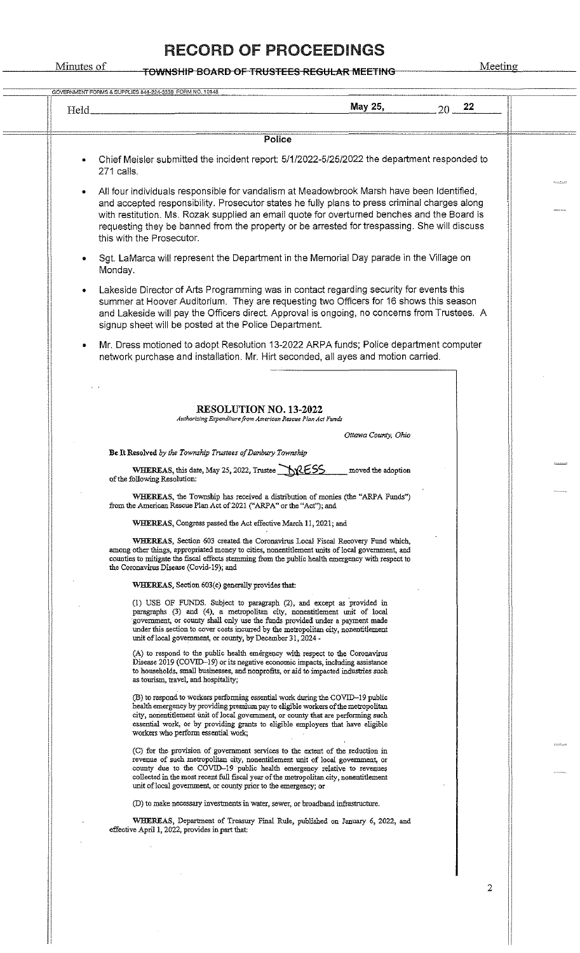#### Minutes of representation of TrueTER BECHLAP MEETING Meeting

| Held_     | May 25,<br>$20 - 22$                                                                                                                                                                                                                                                                                                                                                                                                   |
|-----------|------------------------------------------------------------------------------------------------------------------------------------------------------------------------------------------------------------------------------------------------------------------------------------------------------------------------------------------------------------------------------------------------------------------------|
|           |                                                                                                                                                                                                                                                                                                                                                                                                                        |
|           | Police                                                                                                                                                                                                                                                                                                                                                                                                                 |
|           | Chief Meisler submitted the incident report: 5/1/2022-5/25/2022 the department responded to<br>271 calls.                                                                                                                                                                                                                                                                                                              |
| $\bullet$ | All four individuals responsible for vandalism at Meadowbrook Marsh have been Identified,<br>and accepted responsibility. Prosecutor states he fully plans to press criminal charges along<br>with restitution. Ms. Rozak supplied an email quote for overturned benches and the Board is<br>requesting they be banned from the property or be arrested for trespassing. She will discuss<br>this with the Prosecutor. |
| $\bullet$ | Sqt. LaMarca will represent the Department in the Memorial Day parade in the Village on<br>Monday.                                                                                                                                                                                                                                                                                                                     |
| ٠         | Lakeside Director of Arts Programming was in contact regarding security for events this<br>summer at Hoover Auditorium. They are requesting two Officers for 16 shows this season<br>and Lakeside will pay the Officers direct. Approval is ongoing, no concerns from Trustees. A<br>signup sheet will be posted at the Police Department.                                                                             |
| ٠         | Mr. Dress motioned to adopt Resolution 13-2022 ARPA funds; Police department computer<br>network purchase and installation. Mr. Hirt seconded, all ayes and motion carried.                                                                                                                                                                                                                                            |
|           |                                                                                                                                                                                                                                                                                                                                                                                                                        |
|           | <b>RESOLUTION NO. 13-2022</b><br>Authorizing Expenditure from American Rescue Plan Act Funds                                                                                                                                                                                                                                                                                                                           |
|           | Ottawa County, Ohio                                                                                                                                                                                                                                                                                                                                                                                                    |
|           | Be It Resolved by the Township Trustees of Danbury Township                                                                                                                                                                                                                                                                                                                                                            |
|           | WHEREAS, this date, May 25, 2022, Trustee MRESS<br>moved the adoption<br>of the following Resolution:                                                                                                                                                                                                                                                                                                                  |
|           | WHEREAS, the Township has received a distribution of monies (the "ARPA Funds")<br>from the American Rescue Plan Act of 2021 ("ARPA" or the "Act"); and                                                                                                                                                                                                                                                                 |
|           | WHEREAS, Congress passed the Act effective March 11, 2021; and                                                                                                                                                                                                                                                                                                                                                         |
|           | WHEREAS, Section 603 created the Coronavirus Local Fiscal Recovery Fund which,<br>among other things, appropriated money to cities, nonentitlement units of local government, and<br>counties to mitigate the fiscal effects stemming from the public health emergency with respect to<br>the Coronavirus Disease (Covid-19); and                                                                                      |
|           | WHEREAS, Section 603(c) generally provides that:                                                                                                                                                                                                                                                                                                                                                                       |
|           | (1) USE OF FUNDS. Subject to paragraph (2), and except as provided in<br>paragraphs (3) and (4), a metropolitan city, nonentitlement unit of local<br>government, or county shall only use the funds provided under a payment made<br>under this section to cover costs incurred by the metropolitan city, nonentitlement<br>unit of local government, or county, by December 31, 2024 -                               |
|           | (A) to respond to the public health emergency with respect to the Coronavirus<br>Disease 2019 (COVID-19) or its negative economic impacts, including assistance<br>to households, small businesses, and nonprofits, or aid to impacted industries such<br>as tourism, travel, and hospitality;                                                                                                                         |
|           | (B) to respond to workers performing essential work during the COVID-19 public<br>health emergency by providing premium pay to eligible workers of the metropolitan<br>city, nonentitlement unit of local government, or county that are performing such<br>essential work, or by providing grants to eligible employers that have eligible<br>workers who perform essential work;                                     |
|           | (C) for the provision of government services to the extent of the reduction in<br>revenue of such metropolitan city, nonentitlement unit of local government, or<br>county due to the COVID-19 public health emergency relative to revenues<br>collected in the most recent full fiscal year of the metropolitan city, nonentitlement<br>unit of local government, or county prior to the emergency; or                |
|           | (D) to make necessary investments in water, sewer, or broadband infrastructure.                                                                                                                                                                                                                                                                                                                                        |
|           | WHEREAS, Department of Treasury Final Rule, published on January 6, 2022, and<br>effective April 1, 2022, provides in part that:                                                                                                                                                                                                                                                                                       |
|           |                                                                                                                                                                                                                                                                                                                                                                                                                        |

 $\hat{\mathcal{A}}$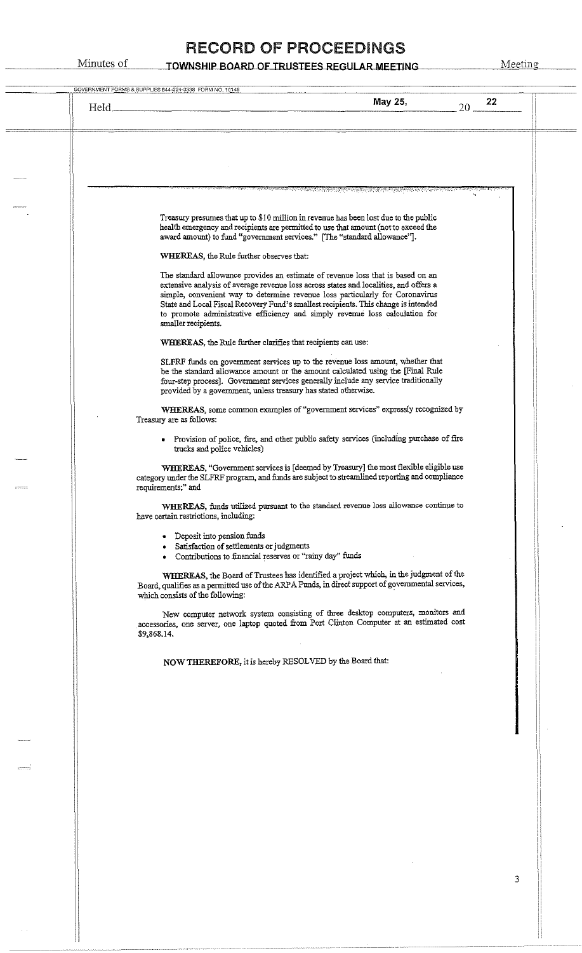Minutes of **TOWNSHIP BOARD OF TRUSTEES REGULAR MEETING** Meeting

| <u>e presenta de la composición de la composición de la composición de la composición de la composición de la com</u><br>En la composición de la composición de la composición de la composición de la composición de la composición d<br>Treasury presumes that up to \$10 million in revenue has been lost due to the public<br>health emergency and recipients are permitted to use that amount (not to exceed the<br>award amount) to fund "government services." [The "standard allowance"].<br>WHEREAS, the Rule further observes that: |
|-----------------------------------------------------------------------------------------------------------------------------------------------------------------------------------------------------------------------------------------------------------------------------------------------------------------------------------------------------------------------------------------------------------------------------------------------------------------------------------------------------------------------------------------------|
|                                                                                                                                                                                                                                                                                                                                                                                                                                                                                                                                               |
|                                                                                                                                                                                                                                                                                                                                                                                                                                                                                                                                               |
|                                                                                                                                                                                                                                                                                                                                                                                                                                                                                                                                               |
|                                                                                                                                                                                                                                                                                                                                                                                                                                                                                                                                               |
| The standard allowance provides an estimate of revenue loss that is based on an<br>extensive analysis of average revenue loss across states and localities, and offers a<br>simple, convenient way to determine revenue loss particularly for Coronavirus<br>State and Local Fiscal Recovery Fund's smallest recipients. This change is intended<br>to promote administrative efficiency and simply revenue loss calculation for<br>smaller recipients.                                                                                       |
| WHEREAS, the Rule further clarifies that recipients can use:                                                                                                                                                                                                                                                                                                                                                                                                                                                                                  |
| SLFRF funds on government services up to the revenue loss amount, whether that<br>be the standard allowance amount or the amount calculated using the [Final Rule<br>four-step process]. Government services generally include any service traditionally<br>provided by a government, unless treasury has stated otherwise.                                                                                                                                                                                                                   |
| WHEREAS, some common examples of "government services" expressly recognized by<br>Treasury are as follows:                                                                                                                                                                                                                                                                                                                                                                                                                                    |
| • Provision of police, fire, and other public safety services (including purchase of fire<br>trucks and police vehicles)                                                                                                                                                                                                                                                                                                                                                                                                                      |
| WHEREAS, "Government services is [deemed by Treasury] the most flexible eligible use<br>category under the SLFRF program, and funds are subject to streamlined reporting and compliance<br>requirements;" and                                                                                                                                                                                                                                                                                                                                 |
| WHEREAS, funds utilized pursuant to the standard revenue loss allowance continue to<br>have certain restrictions, including:                                                                                                                                                                                                                                                                                                                                                                                                                  |
| • Deposit into pension funds<br>· Satisfaction of settlements or judgments<br>• Contributions to financial reserves or "rainy day" funds                                                                                                                                                                                                                                                                                                                                                                                                      |
| WHEREAS, the Board of Trustees has identified a project which, in the judgment of the<br>Board, qualifies as a permitted use of the ARPA Funds, in direct support of governmental services,<br>which consists of the following:                                                                                                                                                                                                                                                                                                               |
| New computer network system consisting of three desktop computers, monitors and<br>accessories, one server, one laptop quoted from Port Clinton Computer at an estimated cost<br>\$9,868.14.                                                                                                                                                                                                                                                                                                                                                  |
| NOW THEREFORE, it is hereby RESOLVED by the Board that:                                                                                                                                                                                                                                                                                                                                                                                                                                                                                       |
|                                                                                                                                                                                                                                                                                                                                                                                                                                                                                                                                               |
|                                                                                                                                                                                                                                                                                                                                                                                                                                                                                                                                               |
|                                                                                                                                                                                                                                                                                                                                                                                                                                                                                                                                               |
|                                                                                                                                                                                                                                                                                                                                                                                                                                                                                                                                               |
|                                                                                                                                                                                                                                                                                                                                                                                                                                                                                                                                               |
|                                                                                                                                                                                                                                                                                                                                                                                                                                                                                                                                               |
|                                                                                                                                                                                                                                                                                                                                                                                                                                                                                                                                               |
|                                                                                                                                                                                                                                                                                                                                                                                                                                                                                                                                               |

il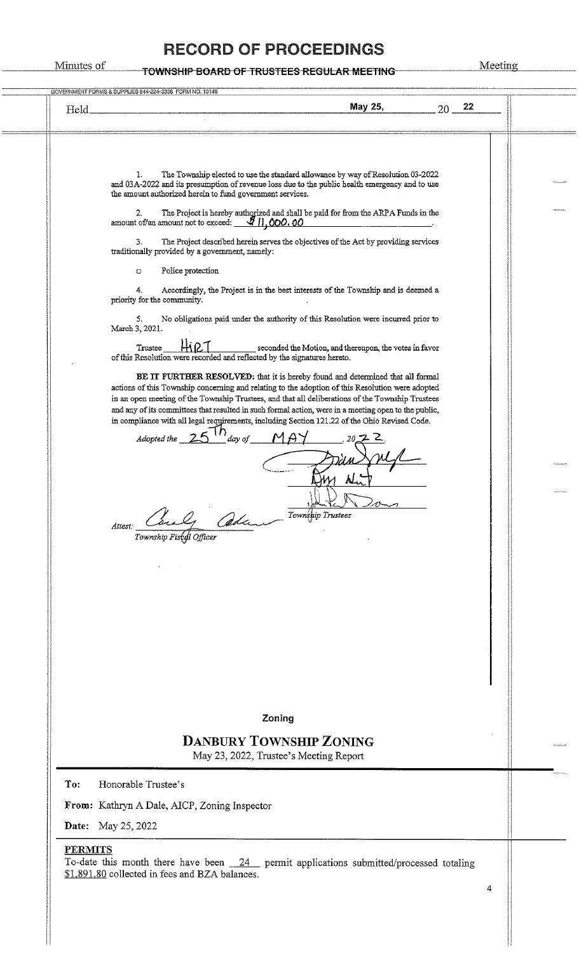# Minutes of TOWNSHIP BOARD OF TRUSTEES REGULAR MEETING Meeting

I i<br>I<br>I<br>I

| The Township elected to use the standard allowance by way of Resolution 03-2022<br>1.<br>and 03A-2022 and its presumption of revenue loss due to the public health emergency and to use<br>the amount authorized herein to fund government services.<br>2.<br>The Project is hereby authorized and shall be paid for from the ARPA Funds in the<br>amount of/an amount not to exceed: $\frac{g_{11,000.00}}{g_{11,000.00}}$<br><u> 1980 - Jan James Barbara, politik eta pro</u><br>The Project described herein serves the objectives of the Act by providing services<br>3.<br>traditionally provided by a government, namely:<br>Police protection<br>о<br>Accordingly, the Project is in the best interests of the Township and is deemed a<br>4.<br>priority for the community.<br>No obligations paid under the authority of this Resolution were incurred prior to<br>5.<br>March 3, 2021.<br>seconded the Motion, and thereupon, the votes in favor<br>Trustee<br>of this Resolution were recorded and reflected by the signatures hereto.<br>BE IT FURTHER RESOLVED: that it is hereby found and determined that all formal<br>actions of this Township concerning and relating to the adoption of this Resolution were adopted<br>in an open meeting of the Township Trustees, and that all deliberations of the Township Trustees<br>and any of its committees that resulted in such formal action, were in a meeting open to the public,<br>in compliance with all legal requirements, including Section 121.22 of the Ohio Revised Code.<br>Adopted the $25$ $\frac{10}{10}$ day of<br>ΛL.<br>Township Trustees<br>ada .-<br>Attest:<br>Township Fiscal Officer | May 25,<br>22<br>$20-$<br>Held.                                                                                                                              |  |
|------------------------------------------------------------------------------------------------------------------------------------------------------------------------------------------------------------------------------------------------------------------------------------------------------------------------------------------------------------------------------------------------------------------------------------------------------------------------------------------------------------------------------------------------------------------------------------------------------------------------------------------------------------------------------------------------------------------------------------------------------------------------------------------------------------------------------------------------------------------------------------------------------------------------------------------------------------------------------------------------------------------------------------------------------------------------------------------------------------------------------------------------------------------------------------------------------------------------------------------------------------------------------------------------------------------------------------------------------------------------------------------------------------------------------------------------------------------------------------------------------------------------------------------------------------------------------------------------------------------------------------------------------------------------------|--------------------------------------------------------------------------------------------------------------------------------------------------------------|--|
|                                                                                                                                                                                                                                                                                                                                                                                                                                                                                                                                                                                                                                                                                                                                                                                                                                                                                                                                                                                                                                                                                                                                                                                                                                                                                                                                                                                                                                                                                                                                                                                                                                                                              |                                                                                                                                                              |  |
|                                                                                                                                                                                                                                                                                                                                                                                                                                                                                                                                                                                                                                                                                                                                                                                                                                                                                                                                                                                                                                                                                                                                                                                                                                                                                                                                                                                                                                                                                                                                                                                                                                                                              |                                                                                                                                                              |  |
|                                                                                                                                                                                                                                                                                                                                                                                                                                                                                                                                                                                                                                                                                                                                                                                                                                                                                                                                                                                                                                                                                                                                                                                                                                                                                                                                                                                                                                                                                                                                                                                                                                                                              |                                                                                                                                                              |  |
|                                                                                                                                                                                                                                                                                                                                                                                                                                                                                                                                                                                                                                                                                                                                                                                                                                                                                                                                                                                                                                                                                                                                                                                                                                                                                                                                                                                                                                                                                                                                                                                                                                                                              |                                                                                                                                                              |  |
|                                                                                                                                                                                                                                                                                                                                                                                                                                                                                                                                                                                                                                                                                                                                                                                                                                                                                                                                                                                                                                                                                                                                                                                                                                                                                                                                                                                                                                                                                                                                                                                                                                                                              |                                                                                                                                                              |  |
|                                                                                                                                                                                                                                                                                                                                                                                                                                                                                                                                                                                                                                                                                                                                                                                                                                                                                                                                                                                                                                                                                                                                                                                                                                                                                                                                                                                                                                                                                                                                                                                                                                                                              |                                                                                                                                                              |  |
|                                                                                                                                                                                                                                                                                                                                                                                                                                                                                                                                                                                                                                                                                                                                                                                                                                                                                                                                                                                                                                                                                                                                                                                                                                                                                                                                                                                                                                                                                                                                                                                                                                                                              |                                                                                                                                                              |  |
|                                                                                                                                                                                                                                                                                                                                                                                                                                                                                                                                                                                                                                                                                                                                                                                                                                                                                                                                                                                                                                                                                                                                                                                                                                                                                                                                                                                                                                                                                                                                                                                                                                                                              |                                                                                                                                                              |  |
|                                                                                                                                                                                                                                                                                                                                                                                                                                                                                                                                                                                                                                                                                                                                                                                                                                                                                                                                                                                                                                                                                                                                                                                                                                                                                                                                                                                                                                                                                                                                                                                                                                                                              |                                                                                                                                                              |  |
|                                                                                                                                                                                                                                                                                                                                                                                                                                                                                                                                                                                                                                                                                                                                                                                                                                                                                                                                                                                                                                                                                                                                                                                                                                                                                                                                                                                                                                                                                                                                                                                                                                                                              |                                                                                                                                                              |  |
|                                                                                                                                                                                                                                                                                                                                                                                                                                                                                                                                                                                                                                                                                                                                                                                                                                                                                                                                                                                                                                                                                                                                                                                                                                                                                                                                                                                                                                                                                                                                                                                                                                                                              |                                                                                                                                                              |  |
| Zoning                                                                                                                                                                                                                                                                                                                                                                                                                                                                                                                                                                                                                                                                                                                                                                                                                                                                                                                                                                                                                                                                                                                                                                                                                                                                                                                                                                                                                                                                                                                                                                                                                                                                       |                                                                                                                                                              |  |
| <b>DANBURY TOWNSHIP ZONING</b><br>May 23, 2022, Trustee's Meeting Report                                                                                                                                                                                                                                                                                                                                                                                                                                                                                                                                                                                                                                                                                                                                                                                                                                                                                                                                                                                                                                                                                                                                                                                                                                                                                                                                                                                                                                                                                                                                                                                                     |                                                                                                                                                              |  |
| Honorable Trustee's                                                                                                                                                                                                                                                                                                                                                                                                                                                                                                                                                                                                                                                                                                                                                                                                                                                                                                                                                                                                                                                                                                                                                                                                                                                                                                                                                                                                                                                                                                                                                                                                                                                          | To:                                                                                                                                                          |  |
|                                                                                                                                                                                                                                                                                                                                                                                                                                                                                                                                                                                                                                                                                                                                                                                                                                                                                                                                                                                                                                                                                                                                                                                                                                                                                                                                                                                                                                                                                                                                                                                                                                                                              | From: Kathryn A Dale, AICP, Zoning Inspector                                                                                                                 |  |
| May 25, 2022                                                                                                                                                                                                                                                                                                                                                                                                                                                                                                                                                                                                                                                                                                                                                                                                                                                                                                                                                                                                                                                                                                                                                                                                                                                                                                                                                                                                                                                                                                                                                                                                                                                                 | Date:                                                                                                                                                        |  |
|                                                                                                                                                                                                                                                                                                                                                                                                                                                                                                                                                                                                                                                                                                                                                                                                                                                                                                                                                                                                                                                                                                                                                                                                                                                                                                                                                                                                                                                                                                                                                                                                                                                                              |                                                                                                                                                              |  |
|                                                                                                                                                                                                                                                                                                                                                                                                                                                                                                                                                                                                                                                                                                                                                                                                                                                                                                                                                                                                                                                                                                                                                                                                                                                                                                                                                                                                                                                                                                                                                                                                                                                                              | <b>PERMITS</b><br>To-date this month there have been $24$ permit applications submitted/processed totaling<br>\$1,891.80 collected in fees and BZA balances. |  |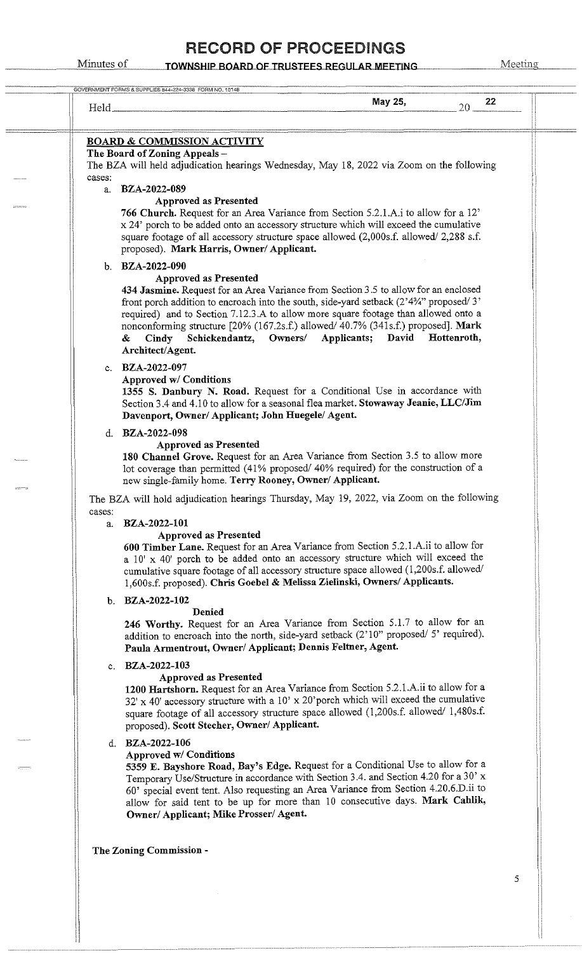#### RECORD OF PROCEEDINGS

| Held_  | May 25,<br>22<br>20                                                                                                                                                                                                                                                                                                                                                                                                                                                                      |
|--------|------------------------------------------------------------------------------------------------------------------------------------------------------------------------------------------------------------------------------------------------------------------------------------------------------------------------------------------------------------------------------------------------------------------------------------------------------------------------------------------|
|        |                                                                                                                                                                                                                                                                                                                                                                                                                                                                                          |
|        | <b>BOARD &amp; COMMISSION ACTIVITY</b>                                                                                                                                                                                                                                                                                                                                                                                                                                                   |
|        | The Board of Zoning Appeals -<br>The BZA will held adjudication hearings Wednesday, May 18, 2022 via Zoom on the following                                                                                                                                                                                                                                                                                                                                                               |
| cases: |                                                                                                                                                                                                                                                                                                                                                                                                                                                                                          |
| a.     | <b>BZA-2022-089</b><br><b>Approved as Presented</b><br>766 Church. Request for an Area Variance from Section 5.2.1.A.i to allow for a 12'<br>x 24' porch to be added onto an accessory structure which will exceed the cumulative<br>square footage of all accessory structure space allowed (2,000s.f. allowed/2,288 s.f.<br>proposed). Mark Harris, Owner/ Applicant.                                                                                                                  |
|        | b. BZA-2022-090                                                                                                                                                                                                                                                                                                                                                                                                                                                                          |
|        | <b>Approved as Presented</b><br>434 Jasmine. Request for an Area Variance from Section 3.5 to allow for an enclosed<br>front porch addition to encroach into the south, side-yard setback $(2^34^34^3)$ proposed/3'<br>required) and to Section 7.12.3.A to allow more square footage than allowed onto a<br>nonconforming structure [20% (167.2s.f.) allowed/ 40.7% (341s.f.) proposed]. Mark<br>Applicants; David Hottenroth,<br>Cindy Schickendantz, Owners/<br>&<br>Architect/Agent. |
|        | c. BZA-2022-097                                                                                                                                                                                                                                                                                                                                                                                                                                                                          |
|        | <b>Approved w/ Conditions</b><br>1355 S. Danbury N. Road. Request for a Conditional Use in accordance with<br>Section 3.4 and 4.10 to allow for a seasonal flea market. Stowaway Jeanie, LLC/Jim<br>Davenport, Owner/ Applicant; John Huegele/ Agent.                                                                                                                                                                                                                                    |
|        | d. BZA-2022-098                                                                                                                                                                                                                                                                                                                                                                                                                                                                          |
|        | <b>Approved as Presented</b><br>180 Channel Grove. Request for an Area Variance from Section 3.5 to allow more<br>lot coverage than permitted (41% proposed/40% required) for the construction of a<br>new single-family home. Terry Rooney, Owner/ Applicant.                                                                                                                                                                                                                           |
|        | The BZA will hold adjudication hearings Thursday, May 19, 2022, via Zoom on the following                                                                                                                                                                                                                                                                                                                                                                                                |
| cases: | a. BZA-2022-101                                                                                                                                                                                                                                                                                                                                                                                                                                                                          |
|        | <b>Approved as Presented</b><br>600 Timber Lane. Request for an Area Variance from Section 5.2.1.A.ii to allow for<br>a 10' x 40' porch to be added onto an accessory structure which will exceed the<br>cumulative square footage of all accessory structure space allowed (1,200s.f. allowed/<br>1,600s.f. proposed). Chris Goebel & Melissa Zielinski, Owners/ Applicants.                                                                                                            |
|        | b. $BZA-2022-102$                                                                                                                                                                                                                                                                                                                                                                                                                                                                        |
|        | Denied<br>246 Worthy. Request for an Area Variance from Section 5.1.7 to allow for an<br>addition to encroach into the north, side-yard setback (2'10" proposed/ 5' required).<br>Paula Armentrout, Owner/ Applicant; Dennis Feltner, Agent.                                                                                                                                                                                                                                             |
|        | c. BZA-2022-103<br><b>Approved as Presented</b><br>1200 Hartshorn. Request for an Area Variance from Section 5.2.1.A.ii to allow for a<br>32' x 40' accessory structure with a 10' x 20' porch which will exceed the cumulative<br>square footage of all accessory structure space allowed (1,200s.f. allowed/1,480s.f.<br>proposed). Scott Stecher, Owner/ Applicant.                                                                                                                   |
|        | d. BZA-2022-106                                                                                                                                                                                                                                                                                                                                                                                                                                                                          |
|        | Approved w/ Conditions<br>5359 E. Bayshore Road, Bay's Edge. Request for a Conditional Use to allow for a<br>Temporary Use/Structure in accordance with Section 3.4. and Section 4.20 for a 30' x<br>60' special event tent. Also requesting an Area Variance from Section 4.20.6.D.ii to<br>allow for said tent to be up for more than 10 consecutive days. Mark Cahlik,<br>Owner/ Applicant; Mike Prosser/ Agent.                                                                      |
|        | The Zoning Commission -                                                                                                                                                                                                                                                                                                                                                                                                                                                                  |
|        |                                                                                                                                                                                                                                                                                                                                                                                                                                                                                          |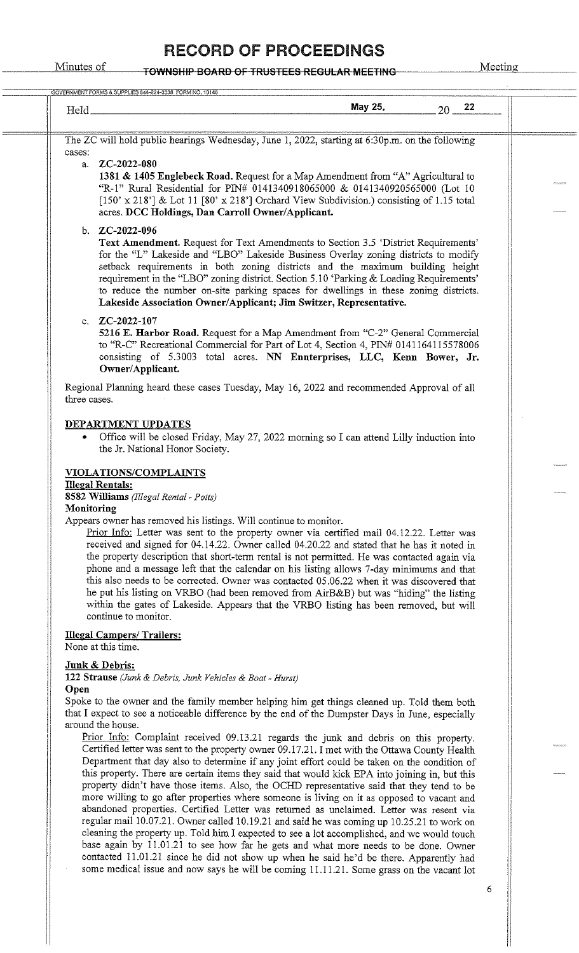#### Minutes of **TOWNSHIP BOARD OF TRUSTEES REGULAR MEETING** Meeting

| Held_                                                                                                                                                                                                                                                                                                                                                                                                                                                                                                                                                                                                                                                                                                                                                                           |                                                                                                                                                                                                                                                                                                                                                                                                                                                                                                                            | May 25, | 22<br>$20 -$ |                                                                                              |
|---------------------------------------------------------------------------------------------------------------------------------------------------------------------------------------------------------------------------------------------------------------------------------------------------------------------------------------------------------------------------------------------------------------------------------------------------------------------------------------------------------------------------------------------------------------------------------------------------------------------------------------------------------------------------------------------------------------------------------------------------------------------------------|----------------------------------------------------------------------------------------------------------------------------------------------------------------------------------------------------------------------------------------------------------------------------------------------------------------------------------------------------------------------------------------------------------------------------------------------------------------------------------------------------------------------------|---------|--------------|----------------------------------------------------------------------------------------------|
|                                                                                                                                                                                                                                                                                                                                                                                                                                                                                                                                                                                                                                                                                                                                                                                 |                                                                                                                                                                                                                                                                                                                                                                                                                                                                                                                            |         |              |                                                                                              |
| The ZC will hold public hearings Wednesday, June 1, 2022, starting at 6:30p.m. on the following<br>cases:                                                                                                                                                                                                                                                                                                                                                                                                                                                                                                                                                                                                                                                                       |                                                                                                                                                                                                                                                                                                                                                                                                                                                                                                                            |         |              |                                                                                              |
| a. ZC-2022-080                                                                                                                                                                                                                                                                                                                                                                                                                                                                                                                                                                                                                                                                                                                                                                  | 1381 & 1405 Englebeck Road. Request for a Map Amendment from "A" Agricultural to<br>"R-1" Rural Residential for PIN# 0141340918065000 & 0141340920565000 (Lot 10<br>[150' x 218'] & Lot 11 [80' x 218'] Orchard View Subdivision.) consisting of 1.15 total<br>acres. DCC Holdings, Dan Carroll Owner/Applicant.                                                                                                                                                                                                           |         |              |                                                                                              |
| b. $ZC-2022-096$<br>c. $ZC-2022-107$                                                                                                                                                                                                                                                                                                                                                                                                                                                                                                                                                                                                                                                                                                                                            | <b>Text Amendment.</b> Request for Text Amendments to Section 3.5 'District Requirements'<br>for the "L" Lakeside and "LBO" Lakeside Business Overlay zoning districts to modify<br>setback requirements in both zoning districts and the maximum building height<br>requirement in the "LBO" zoning district. Section 5.10 'Parking & Loading Requirements'<br>to reduce the number on-site parking spaces for dwellings in these zoning districts.<br>Lakeside Association Owner/Applicant; Jim Switzer, Representative. |         |              |                                                                                              |
| Owner/Applicant.                                                                                                                                                                                                                                                                                                                                                                                                                                                                                                                                                                                                                                                                                                                                                                | 5216 E. Harbor Road. Request for a Map Amendment from "C-2" General Commercial<br>to "R-C" Recreational Commercial for Part of Lot 4, Section 4, PIN# 0141164115578006<br>consisting of 5.3003 total acres. NN Ennterprises, LLC, Kenn Bower, Jr.                                                                                                                                                                                                                                                                          |         |              |                                                                                              |
| Regional Planning heard these cases Tuesday, May 16, 2022 and recommended Approval of all<br>three cases.                                                                                                                                                                                                                                                                                                                                                                                                                                                                                                                                                                                                                                                                       |                                                                                                                                                                                                                                                                                                                                                                                                                                                                                                                            |         |              |                                                                                              |
| DEPARTMENT UPDATES<br>٠<br>the Jr. National Honor Society.<br><b>VIOLATIONS/COMPLAINTS</b><br><b>Illegal Rentals:</b><br>8582 Williams (Illegal Rental - Potts)                                                                                                                                                                                                                                                                                                                                                                                                                                                                                                                                                                                                                 | Office will be closed Friday, May 27, 2022 morning so I can attend Lilly induction into                                                                                                                                                                                                                                                                                                                                                                                                                                    |         |              |                                                                                              |
| Monitoring<br>Appears owner has removed his listings. Will continue to monitor.<br>Prior Info: Letter was sent to the property owner via certified mail 04.12.22. Letter was<br>received and signed for 04.14.22. Owner called 04.20.22 and stated that he has it noted in<br>the property description that short-term rental is not permitted. He was contacted again via<br>phone and a message left that the calendar on his listing allows 7-day minimums and that<br>this also needs to be corrected. Owner was contacted 05.06.22 when it was discovered that<br>he put his listing on VRBO (had been removed from AirB&B) but was "hiding" the listing<br>within the gates of Lakeside. Appears that the VRBO listing has been removed, but will<br>continue to monitor. |                                                                                                                                                                                                                                                                                                                                                                                                                                                                                                                            |         |              |                                                                                              |
| <b>Illegal Campers/ Trailers:</b><br>None at this time.                                                                                                                                                                                                                                                                                                                                                                                                                                                                                                                                                                                                                                                                                                                         |                                                                                                                                                                                                                                                                                                                                                                                                                                                                                                                            |         |              |                                                                                              |
| Junk & Debris:<br>122 Strause (Junk & Debris, Junk Vehicles & Boat - Hurst)<br>Open<br>Spoke to the owner and the family member helping him get things cleaned up. Told them both<br>that I expect to see a noticeable difference by the end of the Dumpster Days in June, especially<br>around the house.                                                                                                                                                                                                                                                                                                                                                                                                                                                                      |                                                                                                                                                                                                                                                                                                                                                                                                                                                                                                                            |         |              |                                                                                              |
| Prior Info: Complaint received 09.13.21 regards the junk and debris on this property.                                                                                                                                                                                                                                                                                                                                                                                                                                                                                                                                                                                                                                                                                           | Certified letter was sent to the property owner 09.17.21. I met with the Ottawa County Health                                                                                                                                                                                                                                                                                                                                                                                                                              |         |              | Department that day also to determine if any joint effort could be taken on the condition of |

6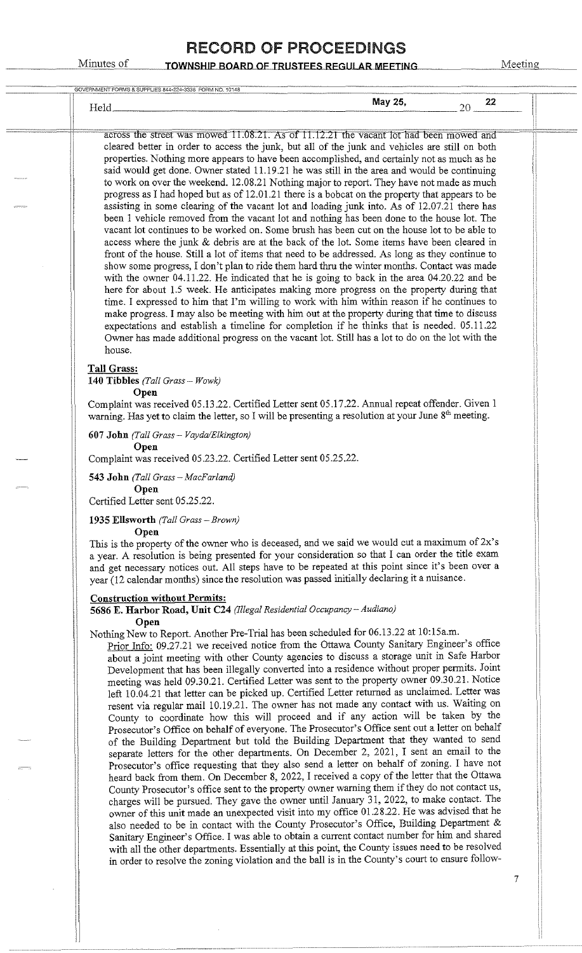| Held_                                                                                                                                                                                                                                                                                                                                                                                                                                                                                                                                                                                                                                                                                                                                                                                                                                                                                                                                                                                                                                                                                                                                                                                                                                                                                                                                                                                                                                                                                                                                                                                                                                                                                                                                                                                                                                                                                                                                                       | May 25, | 22<br>$20 -$ |
|-------------------------------------------------------------------------------------------------------------------------------------------------------------------------------------------------------------------------------------------------------------------------------------------------------------------------------------------------------------------------------------------------------------------------------------------------------------------------------------------------------------------------------------------------------------------------------------------------------------------------------------------------------------------------------------------------------------------------------------------------------------------------------------------------------------------------------------------------------------------------------------------------------------------------------------------------------------------------------------------------------------------------------------------------------------------------------------------------------------------------------------------------------------------------------------------------------------------------------------------------------------------------------------------------------------------------------------------------------------------------------------------------------------------------------------------------------------------------------------------------------------------------------------------------------------------------------------------------------------------------------------------------------------------------------------------------------------------------------------------------------------------------------------------------------------------------------------------------------------------------------------------------------------------------------------------------------------|---------|--------------|
| across the street was mowed 11.08.21. As of 11.12.21 the vacant lot had been mowed and                                                                                                                                                                                                                                                                                                                                                                                                                                                                                                                                                                                                                                                                                                                                                                                                                                                                                                                                                                                                                                                                                                                                                                                                                                                                                                                                                                                                                                                                                                                                                                                                                                                                                                                                                                                                                                                                      |         |              |
| cleared better in order to access the junk, but all of the junk and vehicles are still on both<br>properties. Nothing more appears to have been accomplished, and certainly not as much as he<br>said would get done. Owner stated 11.19.21 he was still in the area and would be continuing<br>to work on over the weekend. 12.08.21 Nothing major to report. They have not made as much<br>progress as I had hoped but as of 12.01.21 there is a bobcat on the property that appears to be<br>assisting in some clearing of the vacant lot and loading junk into. As of 12.07.21 there has<br>been 1 vehicle removed from the vacant lot and nothing has been done to the house lot. The<br>vacant lot continues to be worked on. Some brush has been cut on the house lot to be able to<br>access where the junk & debris are at the back of the lot. Some items have been cleared in<br>front of the house. Still a lot of items that need to be addressed. As long as they continue to                                                                                                                                                                                                                                                                                                                                                                                                                                                                                                                                                                                                                                                                                                                                                                                                                                                                                                                                                                 |         |              |
| show some progress, I don't plan to ride them hard thru the winter months. Contact was made<br>with the owner 04.11.22. He indicated that he is going to back in the area 04.20.22 and be<br>here for about 1.5 week. He anticipates making more progress on the property during that<br>time. I expressed to him that I'm willing to work with him within reason if he continues to<br>make progress. I may also be meeting with him out at the property during that time to discuss<br>expectations and establish a timeline for completion if he thinks that is needed. 05.11.22<br>Owner has made additional progress on the vacant lot. Still has a lot to do on the lot with the<br>house.                                                                                                                                                                                                                                                                                                                                                                                                                                                                                                                                                                                                                                                                                                                                                                                                                                                                                                                                                                                                                                                                                                                                                                                                                                                            |         |              |
| <b>Tall Grass:</b><br>140 Tibbles (Tall Grass - Wowk)                                                                                                                                                                                                                                                                                                                                                                                                                                                                                                                                                                                                                                                                                                                                                                                                                                                                                                                                                                                                                                                                                                                                                                                                                                                                                                                                                                                                                                                                                                                                                                                                                                                                                                                                                                                                                                                                                                       |         |              |
| Open<br>Complaint was received 05.13.22. Certified Letter sent 05.17.22. Annual repeat offender. Given 1<br>warning. Has yet to claim the letter, so I will be presenting a resolution at your June 8 <sup>th</sup> meeting.                                                                                                                                                                                                                                                                                                                                                                                                                                                                                                                                                                                                                                                                                                                                                                                                                                                                                                                                                                                                                                                                                                                                                                                                                                                                                                                                                                                                                                                                                                                                                                                                                                                                                                                                |         |              |
| 607 John (Tall Grass - Vayda/Elkington)<br>Open                                                                                                                                                                                                                                                                                                                                                                                                                                                                                                                                                                                                                                                                                                                                                                                                                                                                                                                                                                                                                                                                                                                                                                                                                                                                                                                                                                                                                                                                                                                                                                                                                                                                                                                                                                                                                                                                                                             |         |              |
| Complaint was received 05.23.22. Certified Letter sent 05.25.22.<br>543 John (Tall Grass - MacFarland)                                                                                                                                                                                                                                                                                                                                                                                                                                                                                                                                                                                                                                                                                                                                                                                                                                                                                                                                                                                                                                                                                                                                                                                                                                                                                                                                                                                                                                                                                                                                                                                                                                                                                                                                                                                                                                                      |         |              |
| Open<br>Certified Letter sent 05.25.22.                                                                                                                                                                                                                                                                                                                                                                                                                                                                                                                                                                                                                                                                                                                                                                                                                                                                                                                                                                                                                                                                                                                                                                                                                                                                                                                                                                                                                                                                                                                                                                                                                                                                                                                                                                                                                                                                                                                     |         |              |
| 1935 Ellsworth (Tall Grass - Brown)                                                                                                                                                                                                                                                                                                                                                                                                                                                                                                                                                                                                                                                                                                                                                                                                                                                                                                                                                                                                                                                                                                                                                                                                                                                                                                                                                                                                                                                                                                                                                                                                                                                                                                                                                                                                                                                                                                                         |         |              |
| Open<br>This is the property of the owner who is deceased, and we said we would cut a maximum of 2x's<br>a year. A resolution is being presented for your consideration so that I can order the title exam<br>and get necessary notices out. All steps have to be repeated at this point since it's been over a<br>year (12 calendar months) since the resolution was passed initially declaring it a nuisance.                                                                                                                                                                                                                                                                                                                                                                                                                                                                                                                                                                                                                                                                                                                                                                                                                                                                                                                                                                                                                                                                                                                                                                                                                                                                                                                                                                                                                                                                                                                                             |         |              |
| <b>Construction without Permits:</b><br>5686 E. Harbor Road, Unit C24 (Illegal Residential Occupancy - Audiano)                                                                                                                                                                                                                                                                                                                                                                                                                                                                                                                                                                                                                                                                                                                                                                                                                                                                                                                                                                                                                                                                                                                                                                                                                                                                                                                                                                                                                                                                                                                                                                                                                                                                                                                                                                                                                                             |         |              |
| Open<br>Nothing New to Report. Another Pre-Trial has been scheduled for 06.13.22 at 10:15a.m.<br>Prior Info: 09.27.21 we received notice from the Ottawa County Sanitary Engineer's office<br>about a joint meeting with other County agencies to discuss a storage unit in Safe Harbor<br>Development that has been illegally converted into a residence without proper permits. Joint<br>meeting was held 09.30.21. Certified Letter was sent to the property owner 09.30.21. Notice<br>left 10.04.21 that letter can be picked up. Certified Letter returned as unclaimed. Letter was<br>resent via regular mail 10.19.21. The owner has not made any contact with us. Waiting on<br>County to coordinate how this will proceed and if any action will be taken by the<br>Prosecutor's Office on behalf of everyone. The Prosecutor's Office sent out a letter on behalf<br>of the Building Department but told the Building Department that they wanted to send<br>separate letters for the other departments. On December 2, 2021, I sent an email to the<br>Prosecutor's office requesting that they also send a letter on behalf of zoning. I have not<br>heard back from them. On December 8, 2022, I received a copy of the letter that the Ottawa<br>County Prosecutor's office sent to the property owner warning them if they do not contact us,<br>charges will be pursued. They gave the owner until January 31, 2022, to make contact. The<br>owner of this unit made an unexpected visit into my office 01.28.22. He was advised that he<br>also needed to be in contact with the County Prosecutor's Office, Building Department &<br>Sanitary Engineer's Office. I was able to obtain a current contact number for him and shared<br>with all the other departments. Essentially at this point, the County issues need to be resolved<br>in order to resolve the zoning violation and the ball is in the County's court to ensure follow- |         |              |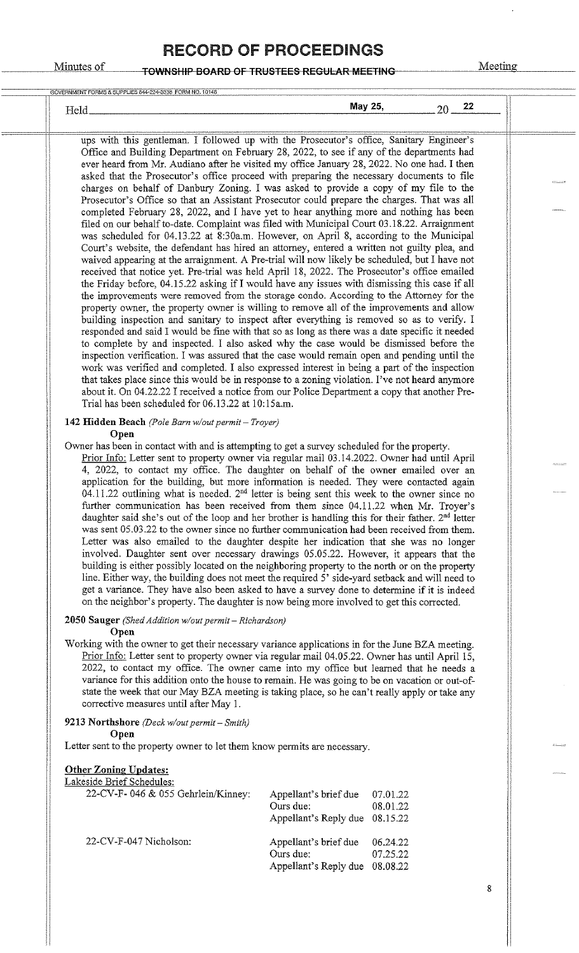#### Minutes of **TOWNSHIP BOARD OF TRUSTEES REGULAR MEETING** Meeting

| Held.                                                                                                                                                                                                                                                                                | May 25, | 22<br>20 |  |
|--------------------------------------------------------------------------------------------------------------------------------------------------------------------------------------------------------------------------------------------------------------------------------------|---------|----------|--|
|                                                                                                                                                                                                                                                                                      |         |          |  |
| ups with this gentleman. I followed up with the Prosecutor's office, Sanitary Engineer's<br>Office and Building Department on February 28, 2022, to see if any of the departments had<br>ever heard from Mr. Audiano after he visited my office January 28, 2022. No one had. I then |         |          |  |
| asked that the Prosecutor's office proceed with preparing the necessary documents to file                                                                                                                                                                                            |         |          |  |
| charges on behalf of Danbury Zoning. I was asked to provide a copy of my file to the                                                                                                                                                                                                 |         |          |  |
| Prosecutor's Office so that an Assistant Prosecutor could prepare the charges. That was all                                                                                                                                                                                          |         |          |  |
| completed February 28, 2022, and I have yet to hear anything more and nothing has been                                                                                                                                                                                               |         |          |  |
| filed on our behalf to-date. Complaint was filed with Municipal Court 03.18.22. Arraignment                                                                                                                                                                                          |         |          |  |
| was scheduled for 04.13.22 at 8:30a.m. However, on April 8, according to the Municipal<br>Court's website, the defendant has hired an attorney, entered a written not guilty plea, and                                                                                               |         |          |  |
| waived appearing at the arraignment. A Pre-trial will now likely be scheduled, but I have not                                                                                                                                                                                        |         |          |  |
| received that notice yet. Pre-trial was held April 18, 2022. The Prosecutor's office emailed                                                                                                                                                                                         |         |          |  |
| the Friday before, 04.15.22 asking if I would have any issues with dismissing this case if all                                                                                                                                                                                       |         |          |  |
| the improvements were removed from the storage condo. According to the Attorney for the                                                                                                                                                                                              |         |          |  |
| property owner, the property owner is willing to remove all of the improvements and allow                                                                                                                                                                                            |         |          |  |
| building inspection and sanitary to inspect after everything is removed so as to verify. I<br>responded and said I would be fine with that so as long as there was a date specific it needed                                                                                         |         |          |  |
| to complete by and inspected. I also asked why the case would be dismissed before the                                                                                                                                                                                                |         |          |  |
| inspection verification. I was assured that the case would remain open and pending until the                                                                                                                                                                                         |         |          |  |
| work was verified and completed. I also expressed interest in being a part of the inspection                                                                                                                                                                                         |         |          |  |
| that takes place since this would be in response to a zoning violation. I've not heard anymore                                                                                                                                                                                       |         |          |  |
| about it. On 04.22.22 I received a notice from our Police Department a copy that another Pre-                                                                                                                                                                                        |         |          |  |
| Trial has been scheduled for 06.13.22 at 10:15a.m.                                                                                                                                                                                                                                   |         |          |  |
| 142 Hidden Beach (Pole Barn w/out permit - Troyer)                                                                                                                                                                                                                                   |         |          |  |
| Open                                                                                                                                                                                                                                                                                 |         |          |  |
| Owner has been in contact with and is attempting to get a survey scheduled for the property.<br>Prior Info: Letter sent to property owner via regular mail 03.14.2022. Owner had until April                                                                                         |         |          |  |
| 4, 2022, to contact my office. The daughter on behalf of the owner emailed over an                                                                                                                                                                                                   |         |          |  |
| application for the building, but more information is needed. They were contacted again                                                                                                                                                                                              |         |          |  |
| 04.11.22 outlining what is needed. 2 <sup>nd</sup> letter is being sent this week to the owner since no                                                                                                                                                                              |         |          |  |
| further communication has been received from them since 04.11.22 when Mr. Troyer's                                                                                                                                                                                                   |         |          |  |
| daughter said she's out of the loop and her brother is handling this for their father. 2 <sup>nd</sup> letter                                                                                                                                                                        |         |          |  |
| was sent 05.03.22 to the owner since no further communication had been received from them.                                                                                                                                                                                           |         |          |  |
| Letter was also emailed to the daughter despite her indication that she was no longer<br>involved. Daughter sent over necessary drawings 05.05.22. However, it appears that the                                                                                                      |         |          |  |
| building is either possibly located on the neighboring property to the north or on the property                                                                                                                                                                                      |         |          |  |
| line. Either way, the building does not meet the required 5' side-yard setback and will need to                                                                                                                                                                                      |         |          |  |
| get a variance. They have also been asked to have a survey done to determine if it is indeed                                                                                                                                                                                         |         |          |  |
| on the neighbor's property. The daughter is now being more involved to get this corrected.                                                                                                                                                                                           |         |          |  |
| 2050 Sauger (Shed Addition w/out permit - Richardson)                                                                                                                                                                                                                                |         |          |  |
| Open                                                                                                                                                                                                                                                                                 |         |          |  |
| Working with the owner to get their necessary variance applications in for the June BZA meeting.                                                                                                                                                                                     |         |          |  |
| Prior Info: Letter sent to property owner via regular mail 04.05.22. Owner has until April 15,                                                                                                                                                                                       |         |          |  |
| 2022, to contact my office. The owner came into my office but learned that he needs a                                                                                                                                                                                                |         |          |  |

variance for this addition onto the house to remain. He was going to be on vacation or out-ofstate the week that our May BZA meeting is taking place, so he can't really apply or take any corrective measures until after May 1.

9213 Northshore *(Deck w/out permit - Smith)* 

Open

Letter sent to the property owner to let them know permits are necessary.

#### Other Zoning Updates:

Lakeside Brief Schedules:

| 22-CV-F-046 & 055 Gehrlein/Kinney: | Appellant's brief due          | 07.01.22 |
|------------------------------------|--------------------------------|----------|
|                                    | Ours due:                      | 08.01.22 |
|                                    | Appellant's Reply due 08.15.22 |          |
| 22-CV-F-047 Nicholson:             | Appellant's brief due          | 06.24.22 |
|                                    | Ours due:                      | 07.25.22 |
|                                    | Appellant's Reply due 08.08.22 |          |

I I , I I I I I I I  $\vert$ 

I

I I I I I I I

I I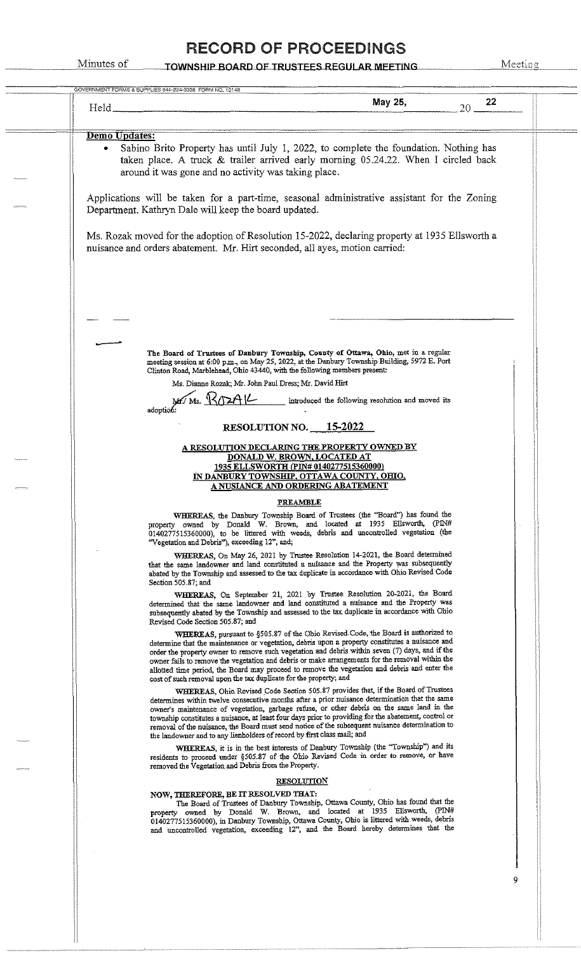| GOVERNMENT FORMS & SUPPLIES 844-224-3338 FORM NO, 10148                                                                                                                                                                                                                                                                                                                                                                                                                                                                                                          |  |
|------------------------------------------------------------------------------------------------------------------------------------------------------------------------------------------------------------------------------------------------------------------------------------------------------------------------------------------------------------------------------------------------------------------------------------------------------------------------------------------------------------------------------------------------------------------|--|
| May 25,<br>22<br>20<br>Held <sub>-</sub>                                                                                                                                                                                                                                                                                                                                                                                                                                                                                                                         |  |
|                                                                                                                                                                                                                                                                                                                                                                                                                                                                                                                                                                  |  |
| Demo Updates:                                                                                                                                                                                                                                                                                                                                                                                                                                                                                                                                                    |  |
| Sabino Brito Property has until July 1, 2022, to complete the foundation. Nothing has<br>۰<br>taken place. A truck & trailer arrived early morning 05.24.22. When I circled back<br>around it was gone and no activity was taking place.                                                                                                                                                                                                                                                                                                                         |  |
| Applications will be taken for a part-time, seasonal administrative assistant for the Zoning<br>Department. Kathryn Dale will keep the board updated.                                                                                                                                                                                                                                                                                                                                                                                                            |  |
| Ms. Rozak moved for the adoption of Resolution 15-2022, declaring property at 1935 Ellsworth a<br>nuisance and orders abatement. Mr. Hirt seconded, all ayes, motion carried:                                                                                                                                                                                                                                                                                                                                                                                    |  |
|                                                                                                                                                                                                                                                                                                                                                                                                                                                                                                                                                                  |  |
| The Board of Trustees of Danbury Township, County of Ottawa, Ohio, met in a regular<br>meeting session at 6:00 p.m., on May 25, 2022, at the Danbury Township Building, 5972 E. Port<br>Clinton Road, Marblehead, Ohio 43440, with the following members present:<br>Ms. Dianne Rozak; Mr. John Paul Dress; Mr. David Hirt                                                                                                                                                                                                                                       |  |
| introduced the following resolution and moved its<br>adoption:                                                                                                                                                                                                                                                                                                                                                                                                                                                                                                   |  |
| RESOLUTION NO. $15-2022$                                                                                                                                                                                                                                                                                                                                                                                                                                                                                                                                         |  |
| A RESOLUTION DECLARING THE PROPERTY OWNED BY<br>DONALD W. BROWN, LOCATED AT                                                                                                                                                                                                                                                                                                                                                                                                                                                                                      |  |
| 1935 ELLSWORTH (PIN# 0140277515360000)<br>IN DANBURY TOWNSHIP, OTTAWA COUNTY, OHIO,<br><u>A NUSIANCE AND ORDERING ABATEMENT</u>                                                                                                                                                                                                                                                                                                                                                                                                                                  |  |
| <b>PREAMBLE</b>                                                                                                                                                                                                                                                                                                                                                                                                                                                                                                                                                  |  |
| WHEREAS, the Danbury Township Board of Trustees (the "Board") has found the<br>property owned by Donald W. Brown, and located at 1935 Ellsworth, (PIN#<br>0140277515360000), to be littered with weeds, debris and uncontrolled vegetation (the<br>"Vegetation and Debris"), exceeding 12", and;                                                                                                                                                                                                                                                                 |  |
| WHEREAS, On May 26, 2021 by Trustee Resolution 14-2021, the Board determined<br>that the same landowner and land constituted a nuisance and the Property was subsequently<br>abated by the Township and assessed to the tax duplicate in accordance with Ohio Revised Code<br>Section 505.87; and                                                                                                                                                                                                                                                                |  |
| WHEREAS, On September 21, 2021 by Trustee Resolution 20-2021, the Board<br>determined that the same landowner and land constituted a nuisance and the Property was<br>subsequently abated by the Township and assessed to the tax duplicate in accordance with Ohio<br>Revised Code Section 505.87; and                                                                                                                                                                                                                                                          |  |
| WHEREAS, pursuant to §505.87 of the Ohio Revised Code, the Board is authorized to<br>determine that the maintenance or vegetation, debris upon a property constitutes a nuisance and<br>order the property owner to remove such vegetation and debris within seven (7) days, and if the<br>owner fails to remove the vegetation and debris or make arrangements for the removal within the<br>allotted time period, the Board may proceed to remove the vegetation and debris and enter the<br>cost of such removal upon the tax duplicate for the property; and |  |
| WHEREAS, Ohio Revised Code Section 505.87 provides that, if the Board of Trustees<br>determines within twelve consecutive months after a prior nuisance determination that the same<br>owner's maintenance of vegetation, garbage refuse, or other debris on the same land in the<br>township constitutes a nuisance, at least four days prior to providing for the abatement, control or<br>removal of the nuisance, the Board must send notice of the subsequent nuisance determination to                                                                     |  |
| the landowner and to any lienholders of record by first class mail; and<br>WHEREAS, it is in the best interests of Danbury Township (the "Township") and its<br>residents to proceed under §505.87 of the Ohio Revised Code in order to remove, or have<br>removed the Vegetation and Debris from the Property.                                                                                                                                                                                                                                                  |  |
| <b>RESOLUTION</b>                                                                                                                                                                                                                                                                                                                                                                                                                                                                                                                                                |  |
| NOW, THEREFORE, BE IT RESOLVED THAT:<br>The Board of Trustees of Danbury Township, Ottawa County, Ohio has found that the<br>property owned by Donald W. Brown, and located at 1935 Ellsworth, (PIN#<br>0140277515360000), in Danbury Township, Ottawa County, Ohio is littered with weeds, debris<br>and uncontrolled vegetation, exceeding 12", and the Board hereby determines that the                                                                                                                                                                       |  |
|                                                                                                                                                                                                                                                                                                                                                                                                                                                                                                                                                                  |  |
| 9                                                                                                                                                                                                                                                                                                                                                                                                                                                                                                                                                                |  |
|                                                                                                                                                                                                                                                                                                                                                                                                                                                                                                                                                                  |  |
|                                                                                                                                                                                                                                                                                                                                                                                                                                                                                                                                                                  |  |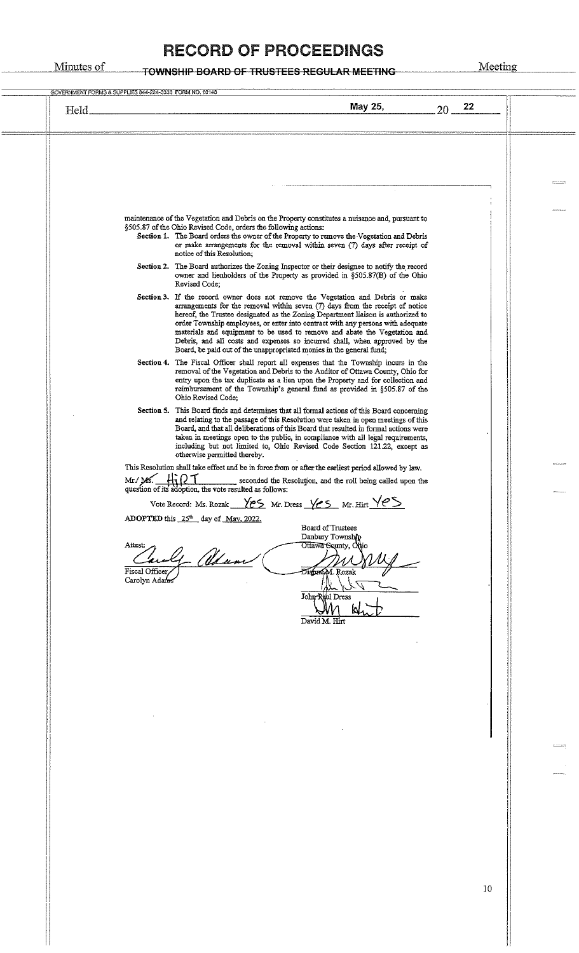| Held. | May 25,<br>22<br>20                                                                                                                                                                                                                                                                                                                                                                                                                                                                                                                                                           |  |
|-------|-------------------------------------------------------------------------------------------------------------------------------------------------------------------------------------------------------------------------------------------------------------------------------------------------------------------------------------------------------------------------------------------------------------------------------------------------------------------------------------------------------------------------------------------------------------------------------|--|
|       |                                                                                                                                                                                                                                                                                                                                                                                                                                                                                                                                                                               |  |
|       |                                                                                                                                                                                                                                                                                                                                                                                                                                                                                                                                                                               |  |
|       | maintenance of the Vegetation and Debris on the Property constitutes a nuisance and, pursuant to<br>§505.87 of the Ohio Revised Code, orders the following actions:<br>Section 1. The Board orders the owner of the Property to remove the Vegetation and Debris<br>or make arrangements for the removal within seven (7) days after receipt of<br>notice of this Resolution;<br>Section 2. The Board authorizes the Zoning Inspector or their designee to notify the record                                                                                                  |  |
|       | owner and lienholders of the Property as provided in §505.87(B) of the Ohio<br>Revised Code;                                                                                                                                                                                                                                                                                                                                                                                                                                                                                  |  |
|       | Section 3. If the record owner does not remove the Vegetation and Debris or make<br>arrangements for the removal within seven $(7)$ days from the receipt of notice<br>hereof, the Trustee designated as the Zoning Department liaison is authorized to<br>order Township employees, or enter into contract with any persons with adequate<br>materials and equipment to be used to remove and abate the Vegetation and<br>Debris, and all costs and expenses so incurred shall, when approved by the<br>Board, be paid out of the unappropriated monies in the general fund; |  |
|       | Section 4. The Fiscal Officer shall report all expenses that the Township incurs in the<br>removal of the Vegetation and Debris to the Auditor of Ottawa County, Ohio for<br>entry upon the tax duplicate as a lien upon the Property and for collection and<br>reimbursement of the Township's general fund as provided in §505.87 of the<br>Ohio Revised Code:                                                                                                                                                                                                              |  |
|       | Section 5. This Board finds and determines that all formal actions of this Board concerning<br>and relating to the passage of this Resolution were taken in open meetings of this<br>Board, and that all deliberations of this Board that resulted in formal actions were<br>taken in meetings open to the public, in compliance with all legal requirements,<br>including but not limited to, Ohio Revised Code Section 121.22, except as<br>otherwise permitted thereby.                                                                                                    |  |
|       | This Resolution shall take effect and be in force from or after the earliest period allowed by law.                                                                                                                                                                                                                                                                                                                                                                                                                                                                           |  |
|       | 47 Q T<br>$Mr/Ms$ .<br>seconded the Resolution, and the roll being called upon the<br>question of its adoption, the vote resulted as follows:                                                                                                                                                                                                                                                                                                                                                                                                                                 |  |
|       | Vote Record: Ms. Rozak $\sqrt{eS}$ Mr. Dress $\sqrt{eS}$ Mr. Hirt $\sqrt{eS}$                                                                                                                                                                                                                                                                                                                                                                                                                                                                                                 |  |
|       | ADOPTED this $25th$ day of May, 2022.<br>Board of Trustees                                                                                                                                                                                                                                                                                                                                                                                                                                                                                                                    |  |
|       | Danbury Township<br>Ottawa Sounty, Ohio<br>Attest:<br>(Udan<br>Fiscal Officer<br>DianaéM. Rozak<br>Carolyn Adam<br>John-Raul Dress                                                                                                                                                                                                                                                                                                                                                                                                                                            |  |
|       | David M. Hirt                                                                                                                                                                                                                                                                                                                                                                                                                                                                                                                                                                 |  |
|       |                                                                                                                                                                                                                                                                                                                                                                                                                                                                                                                                                                               |  |
|       |                                                                                                                                                                                                                                                                                                                                                                                                                                                                                                                                                                               |  |
|       |                                                                                                                                                                                                                                                                                                                                                                                                                                                                                                                                                                               |  |
|       |                                                                                                                                                                                                                                                                                                                                                                                                                                                                                                                                                                               |  |
|       |                                                                                                                                                                                                                                                                                                                                                                                                                                                                                                                                                                               |  |
|       |                                                                                                                                                                                                                                                                                                                                                                                                                                                                                                                                                                               |  |
|       |                                                                                                                                                                                                                                                                                                                                                                                                                                                                                                                                                                               |  |
|       |                                                                                                                                                                                                                                                                                                                                                                                                                                                                                                                                                                               |  |
|       |                                                                                                                                                                                                                                                                                                                                                                                                                                                                                                                                                                               |  |
|       |                                                                                                                                                                                                                                                                                                                                                                                                                                                                                                                                                                               |  |
|       |                                                                                                                                                                                                                                                                                                                                                                                                                                                                                                                                                                               |  |
|       |                                                                                                                                                                                                                                                                                                                                                                                                                                                                                                                                                                               |  |
|       |                                                                                                                                                                                                                                                                                                                                                                                                                                                                                                                                                                               |  |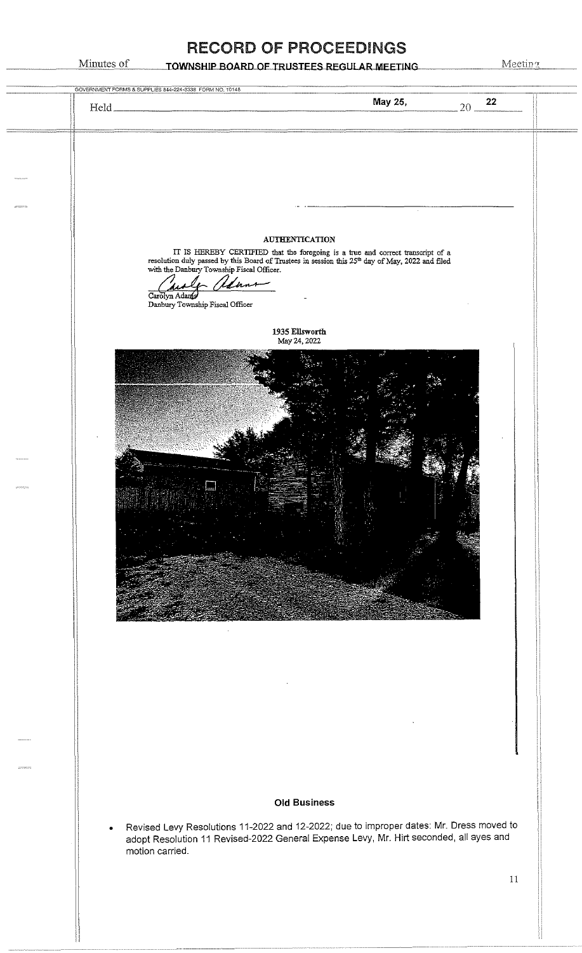#### TOWNSHIP BOARD OF TRUSTEES REGULAR MEETING

Minutes of

|            | GOVERNMENT FORMS & SUPPLIES 844-224-3338 FORM NO. 10148                                                                                                                                                                                                      |    |
|------------|--------------------------------------------------------------------------------------------------------------------------------------------------------------------------------------------------------------------------------------------------------------|----|
|            | May 25,<br>$20 - \frac{22}{ }$                                                                                                                                                                                                                               |    |
|            |                                                                                                                                                                                                                                                              |    |
|            |                                                                                                                                                                                                                                                              |    |
|            |                                                                                                                                                                                                                                                              |    |
|            |                                                                                                                                                                                                                                                              |    |
|            |                                                                                                                                                                                                                                                              |    |
|            | <b>AUTHENTICATION</b><br>IT IS HEREBY CERTIFIED that the foregoing is a true and correct transcript of a resolution duly passed by this Board of Trustees in session this $25^{\text{th}}$ day of May, 2022 and filed with the Danbury Township Fiscal Offic |    |
|            | tenn                                                                                                                                                                                                                                                         |    |
|            | Carolyn Adamy<br>Danbury Township Fiscal Officer                                                                                                                                                                                                             |    |
|            | 1935 Ellsworth                                                                                                                                                                                                                                               |    |
|            | May 24, 2022                                                                                                                                                                                                                                                 |    |
|            |                                                                                                                                                                                                                                                              |    |
|            |                                                                                                                                                                                                                                                              |    |
|            |                                                                                                                                                                                                                                                              |    |
|            |                                                                                                                                                                                                                                                              |    |
|            |                                                                                                                                                                                                                                                              |    |
| 2010/07/12 |                                                                                                                                                                                                                                                              |    |
|            |                                                                                                                                                                                                                                                              |    |
|            |                                                                                                                                                                                                                                                              |    |
|            |                                                                                                                                                                                                                                                              |    |
|            |                                                                                                                                                                                                                                                              |    |
|            |                                                                                                                                                                                                                                                              |    |
|            |                                                                                                                                                                                                                                                              |    |
|            |                                                                                                                                                                                                                                                              |    |
|            |                                                                                                                                                                                                                                                              |    |
|            |                                                                                                                                                                                                                                                              |    |
|            |                                                                                                                                                                                                                                                              |    |
|            |                                                                                                                                                                                                                                                              |    |
|            |                                                                                                                                                                                                                                                              |    |
|            |                                                                                                                                                                                                                                                              |    |
|            | <b>Old Business</b>                                                                                                                                                                                                                                          |    |
|            | Revised Levy Resolutions 11-2022 and 12-2022; due to improper dates: Mr. Dress moved to<br>$\bullet$<br>adopt Resolution 11 Revised-2022 General Expense Levy, Mr. Hirt seconded, all ayes and                                                               |    |
|            | motion carried.                                                                                                                                                                                                                                              |    |
|            |                                                                                                                                                                                                                                                              | 11 |
|            |                                                                                                                                                                                                                                                              |    |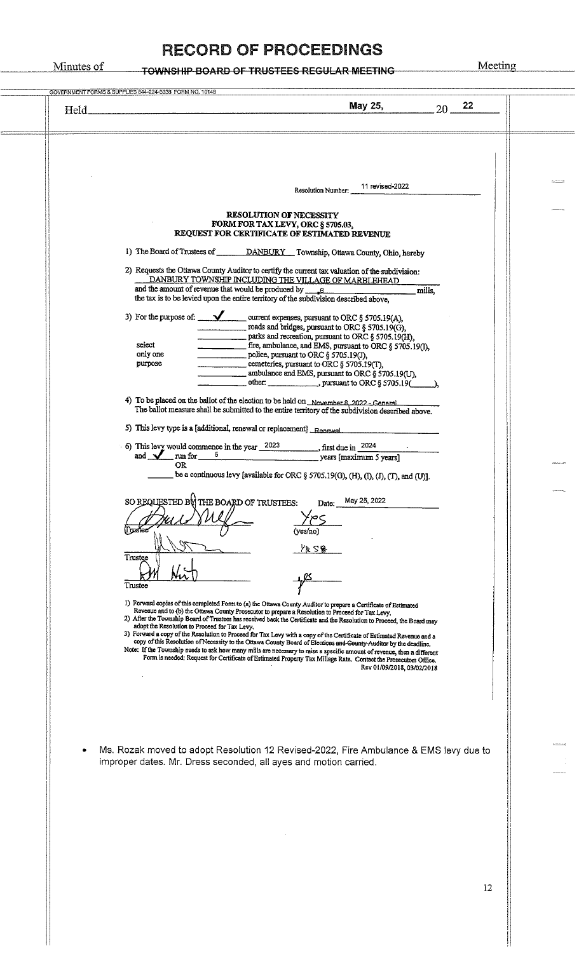# Minutes of **TOWNSHIP BOARD OF TRUSTEES REGULAR MEETING** Meeting

| May 25,<br>22<br>20<br>$Held$ <sub><math>-</math></sub>                                                                                                                                                                                                                     |       |
|-----------------------------------------------------------------------------------------------------------------------------------------------------------------------------------------------------------------------------------------------------------------------------|-------|
|                                                                                                                                                                                                                                                                             |       |
|                                                                                                                                                                                                                                                                             |       |
|                                                                                                                                                                                                                                                                             |       |
| 11 revised-2022<br>Resolution Number:                                                                                                                                                                                                                                       |       |
| <b>RESOLUTION OF NECESSITY</b>                                                                                                                                                                                                                                              |       |
| FORM FOR TAX LEVY, ORC § 5705.03,<br>REQUEST FOR CERTIFICATE OF ESTIMATED REVENUE                                                                                                                                                                                           |       |
| 1) The Board of Trustees of DANBURY Township, Ottawa County, Ohio, hereby                                                                                                                                                                                                   |       |
| 2) Requests the Ottawa County Auditor to certify the current tax valuation of the subdivision:                                                                                                                                                                              |       |
| DANBURY TOWNSHIP INCLUDING THE VILLAGE OF MARBLEHEAD<br>and the amount of revenue that would be produced by $g_{\text{max}}$<br>mills,                                                                                                                                      |       |
| the tax is to be levied upon the entire territory of the subdivision described above.                                                                                                                                                                                       |       |
| roads and bridges, pursuant to ORC § 5705.19(G),                                                                                                                                                                                                                            |       |
| parks and recreation, pursuant to ORC § 5705.19(H),<br>select<br>fire, ambulance, and EMS, pursuant to ORC § 5705.19(1),                                                                                                                                                    |       |
| only one<br>$\frac{1}{2}$ police, pursuant to ORC § 5705.19(J),<br>cemeteries, pursuant to ORC $\S$ 5705.19(T),<br>purpose                                                                                                                                                  |       |
| ambulance and EMS, pursuant to ORC § 5705.19(U),                                                                                                                                                                                                                            |       |
| 4) To be placed on the ballot of the election to be held on November 8, 2022 - General                                                                                                                                                                                      |       |
| The ballot measure shall be submitted to the entire territory of the subdivision described above.                                                                                                                                                                           |       |
| 5) This levy type is a [additional, renewal or replacement] Renewal                                                                                                                                                                                                         |       |
| 6) This levy would commence in the year $\frac{2023}{\text{}}$ , first due in $\frac{2024}{\text{}}$ and $\frac{2024}{\text{}}$ run for $\frac{5}{\text{}}$ years [maximum 5 years]                                                                                         |       |
| <b>OR</b><br>be a continuous levy [available for ORC § 5705.19(G), (H), (I), (I), (T), and (U)].                                                                                                                                                                            | maano |
|                                                                                                                                                                                                                                                                             |       |
| SO REQUESTED BO THE BOARD OF TRUSTEES:<br>Date: May 25, 2022                                                                                                                                                                                                                |       |
| (yes/no)                                                                                                                                                                                                                                                                    |       |
| 人であ                                                                                                                                                                                                                                                                         |       |
| Trustee                                                                                                                                                                                                                                                                     |       |
| Trustee                                                                                                                                                                                                                                                                     |       |
| I) Forward copies of this completed Form to (a) the Ottawa County Auditor to prepare a Certificate of Estimated                                                                                                                                                             |       |
| Revenue and to (b) the Ottawa County Prosecutor to prepare a Resolution to Proceed for Tax Levy.<br>2) After the Township Board of Trustees has received back the Certificate and the Resolution to Proceed, the Board may<br>adopt the Resolution to Proceed for Tax Levy, |       |
| 3) Forward a copy of the Resolution to Proceed for Tax Levy with a copy of the Certificate of Estimated Revenue and a<br>copy of this Resolution of Necessity to the Ottawa County Board of Elections and County Auditor by the deadline.                                   |       |
| Note: If the Township needs to ask how many mills are necessary to raise a specific amount of revenue, then a different<br>Form is needed: Request for Certificate of Estimated Property Tax Millage Rate. Contact the Prosecutors Office.                                  |       |
| Rev 01/09/2018, 03/02/2018                                                                                                                                                                                                                                                  |       |
|                                                                                                                                                                                                                                                                             |       |
|                                                                                                                                                                                                                                                                             |       |
|                                                                                                                                                                                                                                                                             |       |
| Ms. Rozak moved to adopt Resolution 12 Revised-2022, Fire Ambulance & EMS levy due to                                                                                                                                                                                       |       |
| improper dates. Mr. Dress seconded, all ayes and motion carried.                                                                                                                                                                                                            |       |
|                                                                                                                                                                                                                                                                             |       |
|                                                                                                                                                                                                                                                                             |       |
|                                                                                                                                                                                                                                                                             |       |
|                                                                                                                                                                                                                                                                             |       |
|                                                                                                                                                                                                                                                                             |       |
|                                                                                                                                                                                                                                                                             |       |
| 12                                                                                                                                                                                                                                                                          |       |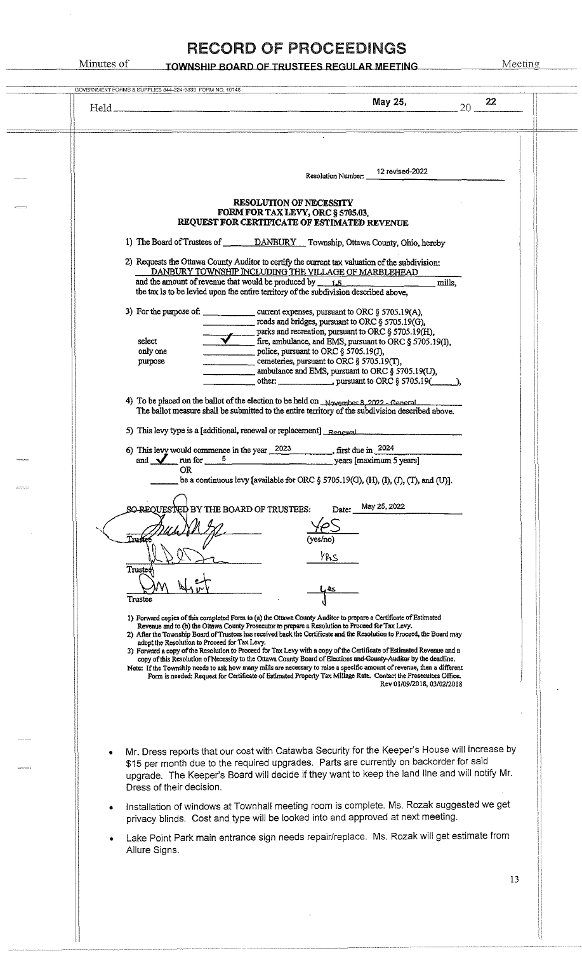| GOVERNMENT FORMS & SUPPLIES 844-224-3338 FORM NO. 10148<br>May 25,<br>22                                                                                                                                                                                                                                                                                                                 |
|------------------------------------------------------------------------------------------------------------------------------------------------------------------------------------------------------------------------------------------------------------------------------------------------------------------------------------------------------------------------------------------|
| 20                                                                                                                                                                                                                                                                                                                                                                                       |
|                                                                                                                                                                                                                                                                                                                                                                                          |
|                                                                                                                                                                                                                                                                                                                                                                                          |
| 12 revised-2022<br>Resolution Numbor:                                                                                                                                                                                                                                                                                                                                                    |
| <b>RESOLUTION OF NECESSITY</b>                                                                                                                                                                                                                                                                                                                                                           |
| FORM FOR TAX LEVY, ORC § 5705.03,<br>REQUEST FOR CERTIFICATE OF ESTIMATED REVENUE                                                                                                                                                                                                                                                                                                        |
| 1) The Board of Trustees of DANBURY Township, Ottawa County, Ohio, hereby                                                                                                                                                                                                                                                                                                                |
| 2) Requests the Ottawa County Auditor to certify the current tax valuation of the subdivision:                                                                                                                                                                                                                                                                                           |
| DANBURY TOWNSHIP INCLUDING THE VILLAGE OF MARBLEHEAD<br>and the amount of revenue that would be produced by $1.5$<br>mills,                                                                                                                                                                                                                                                              |
| the tax is to be levied upon the entire territory of the subdivision described above,                                                                                                                                                                                                                                                                                                    |
| 3) For the purpose of: _______________ current expenses, pursuant to ORC § 5705.19(A),<br>$\frac{1}{2}$ roads and bridges, pursuant to ORC § 5705.19(G),                                                                                                                                                                                                                                 |
| parks and recreation, pursuant to ORC § 5705.19(H),<br>fire, ambulance, and EMS, pursuant to ORC § 5705.19(I),<br>select                                                                                                                                                                                                                                                                 |
| only one<br>police, pursuant to ORC $\S$ 5705.19(J),                                                                                                                                                                                                                                                                                                                                     |
| cemeteries, pursuant to ORC $\S$ 5705.19(T),<br>purpose<br>ambulance and EMS, pursuant to ORC § 5705.19(U),                                                                                                                                                                                                                                                                              |
| other: pursuant to ORC $\S$ 5705.19( $\qquad$ ),                                                                                                                                                                                                                                                                                                                                         |
| 4) To be placed on the ballot of the election to be held on November 8, 2022 - General                                                                                                                                                                                                                                                                                                   |
| The ballot measure shall be submitted to the entire territory of the subdivision described above.                                                                                                                                                                                                                                                                                        |
|                                                                                                                                                                                                                                                                                                                                                                                          |
| 6) This levy would commence in the year $2023$ first due in $2024$<br>and $\frac{1}{\sqrt{2}}$ run for $\frac{5}{\sqrt{2}}$ run for $\frac{5}{\sqrt{2}}$ run for $\frac{1}{\sqrt{2}}$ run for $\frac{1}{\sqrt{2}}$ run for $\frac{1}{\sqrt{2}}$ run for $\frac{1}{\sqrt{2}}$ run for $\frac{1}{\sqrt{2}}$ run for $\frac{1}{\sqrt{2}}$ run for $\frac{1}{\sqrt{2}}$ run for $\frac{1}{\$ |
| OR.<br>be a continuous levy [available for ORC $\S$ 5705.19(G), (H), (I), (J), (T), and (U)].                                                                                                                                                                                                                                                                                            |
|                                                                                                                                                                                                                                                                                                                                                                                          |
| May 25, 2022<br>SO REQUESTED BY THE BOARD OF TRUSTEES:<br>Date:                                                                                                                                                                                                                                                                                                                          |
|                                                                                                                                                                                                                                                                                                                                                                                          |
| (ves/no)                                                                                                                                                                                                                                                                                                                                                                                 |
| YRS<br>Trustee                                                                                                                                                                                                                                                                                                                                                                           |
|                                                                                                                                                                                                                                                                                                                                                                                          |
| Trustee                                                                                                                                                                                                                                                                                                                                                                                  |
| 1) Forward copies of this completed Form to (a) the Ottawa County Auditor to prepare a Certificate of Estimated<br>Revenue and to (b) the Ottawa County Prosecutor to prepare a Resolution to Proceed for Tax Levy.                                                                                                                                                                      |
| 2) After the Township Board of Trustees has received back the Certificate and the Resolution to Proceed, the Board may<br>adopt the Resolution to Proceed for Tax Levy.                                                                                                                                                                                                                  |
| 3) Forward a copy of the Resolution to Proceed for Tax Levy with a copy of the Certificate of Estimated Revenue and a<br>copy of this Resolution of Necessity to the Ottawa County Board of Elections and County Auditor by the deadline.                                                                                                                                                |
| Note: If the Township needs to ask how many mills are necessary to raise a specific amount of revenue, then a different<br>Form is needed: Request for Certificate of Estimated Property Tax Millage Rate. Contact the Prosecutors Office.                                                                                                                                               |
| Rev 01/09/2018, 03/02/2018                                                                                                                                                                                                                                                                                                                                                               |
|                                                                                                                                                                                                                                                                                                                                                                                          |
|                                                                                                                                                                                                                                                                                                                                                                                          |
|                                                                                                                                                                                                                                                                                                                                                                                          |
| Mr. Dress reports that our cost with Catawba Security for the Keeper's House will increase by<br>\$15 per month due to the required upgrades. Parts are currently on backorder for said                                                                                                                                                                                                  |
| upgrade. The Keeper's Board will decide if they want to keep the land line and will notify Mr.                                                                                                                                                                                                                                                                                           |
| Dress of their decision.                                                                                                                                                                                                                                                                                                                                                                 |
| Installation of windows at Townhall meeting room is complete. Ms. Rozak suggested we get<br>privacy blinds. Cost and type will be looked into and approved at next meeting.                                                                                                                                                                                                              |
|                                                                                                                                                                                                                                                                                                                                                                                          |
| Lake Point Park main entrance sign needs repair/replace. Ms. Rozak will get estimate from<br>Allure Signs.                                                                                                                                                                                                                                                                               |
|                                                                                                                                                                                                                                                                                                                                                                                          |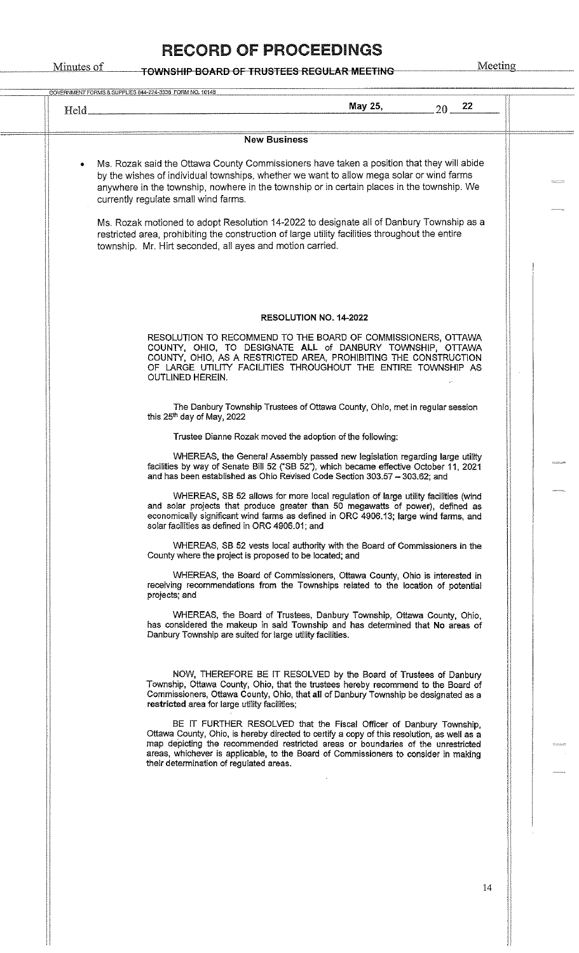| Held. | May 25,<br>22<br>$20 -$                                                                                                                                                                                                                                                                                                                                                                                                                                                                                                                                                                 |  |
|-------|-----------------------------------------------------------------------------------------------------------------------------------------------------------------------------------------------------------------------------------------------------------------------------------------------------------------------------------------------------------------------------------------------------------------------------------------------------------------------------------------------------------------------------------------------------------------------------------------|--|
|       | <b>New Business</b>                                                                                                                                                                                                                                                                                                                                                                                                                                                                                                                                                                     |  |
|       | Ms. Rozak said the Ottawa County Commissioners have taken a position that they will abide<br>by the wishes of individual townships, whether we want to allow mega solar or wind farms<br>anywhere in the township, nowhere in the township or in certain places in the township. We<br>currently regulate small wind farms.<br>Ms. Rozak motioned to adopt Resolution 14-2022 to designate all of Danbury Township as a<br>restricted area, prohibiting the construction of large utility facilities throughout the entire<br>township. Mr. Hirt seconded, all ayes and motion carried. |  |
|       | <b>RESOLUTION NO. 14-2022</b>                                                                                                                                                                                                                                                                                                                                                                                                                                                                                                                                                           |  |
|       | RESOLUTION TO RECOMMEND TO THE BOARD OF COMMISSIONERS, OTTAWA<br>COUNTY, OHIO, TO DESIGNATE ALL of DANBURY TOWNSHIP, OTTAWA<br>COUNTY, OHIO, AS A RESTRICTED AREA, PROHIBITING THE CONSTRUCTION<br>OF LARGE UTILITY FACILITIES THROUGHOUT THE ENTIRE TOWNSHIP AS<br><b>OUTLINED HEREIN.</b>                                                                                                                                                                                                                                                                                             |  |
|       | The Danbury Township Trustees of Ottawa County, Ohio, met in regular session<br>this 25 <sup>th</sup> day of May, 2022                                                                                                                                                                                                                                                                                                                                                                                                                                                                  |  |
|       | Trustee Dianne Rozak moved the adoption of the following:                                                                                                                                                                                                                                                                                                                                                                                                                                                                                                                               |  |
|       | WHEREAS, the General Assembly passed new legislation regarding large utility<br>facilities by way of Senate Bill 52 ("SB 52"), which became effective October 11, 2021<br>and has been established as Ohio Revised Code Section 303.57 - 303.62; and                                                                                                                                                                                                                                                                                                                                    |  |
|       | WHEREAS, SB 52 allows for more local regulation of large utility facilities (wind<br>and solar projects that produce greater than 50 megawatts of power), defined as<br>economically significant wind farms as defined in ORC 4906.13; large wind farms, and<br>solar facilities as defined in ORC 4906.01; and                                                                                                                                                                                                                                                                         |  |
|       | WHEREAS, SB 52 vests local authority with the Board of Commissioners in the<br>County where the project is proposed to be located; and                                                                                                                                                                                                                                                                                                                                                                                                                                                  |  |
|       | WHEREAS, the Board of Commissioners, Ottawa County, Ohio is interested in<br>receiving recommendations from the Townships related to the location of potential<br>projects; and                                                                                                                                                                                                                                                                                                                                                                                                         |  |
|       | WHEREAS, the Board of Trustees, Danbury Township, Ottawa County, Ohio,<br>has considered the makeup in said Township and has determined that No areas of<br>Danbury Township are suited for large utility facilities.                                                                                                                                                                                                                                                                                                                                                                   |  |
|       | NOW, THEREFORE BE IT RESOLVED by the Board of Trustees of Danbury<br>Township, Ottawa County, Ohio, that the trustees hereby recommend to the Board of<br>Commissioners, Ottawa County, Ohio, that all of Danbury Township be designated as a<br>restricted area for large utility facilities;                                                                                                                                                                                                                                                                                          |  |
|       | BE IT FURTHER RESOLVED that the Fiscal Officer of Danbury Township.<br>Ottawa County, Ohio, is hereby directed to certify a copy of this resolution, as well as a<br>map depicting the recommended restricted areas or boundaries of the unrestricted<br>areas, whichever is applicable, to the Board of Commissioners to consider in making<br>their determination of regulated areas.                                                                                                                                                                                                 |  |
|       |                                                                                                                                                                                                                                                                                                                                                                                                                                                                                                                                                                                         |  |
|       |                                                                                                                                                                                                                                                                                                                                                                                                                                                                                                                                                                                         |  |
|       |                                                                                                                                                                                                                                                                                                                                                                                                                                                                                                                                                                                         |  |
|       |                                                                                                                                                                                                                                                                                                                                                                                                                                                                                                                                                                                         |  |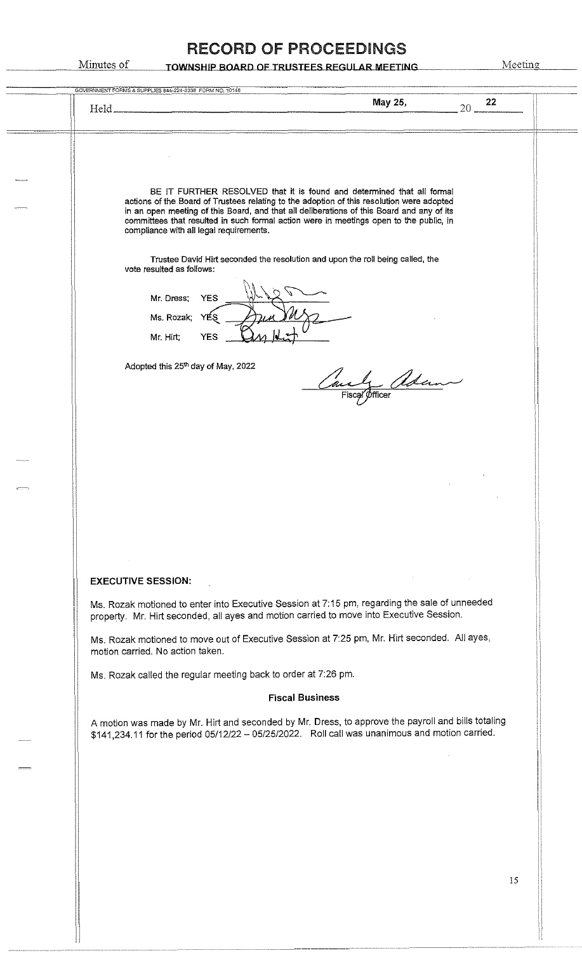| GOVERNMENT FORMS & SUPPLIES 844-224-3338 FORM NO. 10148                                                                                                                                                                                                                                                          |    |
|------------------------------------------------------------------------------------------------------------------------------------------------------------------------------------------------------------------------------------------------------------------------------------------------------------------|----|
| May 25,<br>20<br>Held_                                                                                                                                                                                                                                                                                           | 22 |
|                                                                                                                                                                                                                                                                                                                  |    |
| BE IT FURTHER RESOLVED that it is found and determined that all formal<br>actions of the Board of Trustees relating to the adoption of this resolution were adopted                                                                                                                                              |    |
| in an open meeting of this Board, and that all deliberations of this Board and any of its<br>committees that resulted in such formal action were in meetings open to the public, in<br>compliance with all legal requirements.<br>Trustee David Hirt seconded the resolution and upon the roll being called, the |    |
| vote resulted as follows:<br>Mr. Dress;<br><b>YES</b>                                                                                                                                                                                                                                                            |    |
| Ms. Rozak;<br>YES<br>Mr. Hirt;<br><b>YES</b>                                                                                                                                                                                                                                                                     |    |
| Adopted this 25th day of May, 2022<br><u>- Adam</u><br>Fiscal Officer                                                                                                                                                                                                                                            |    |
|                                                                                                                                                                                                                                                                                                                  |    |
|                                                                                                                                                                                                                                                                                                                  |    |
|                                                                                                                                                                                                                                                                                                                  |    |
| <b>EXECUTIVE SESSION:</b>                                                                                                                                                                                                                                                                                        |    |
| Ms. Rozak motioned to enter into Executive Session at 7:15 pm, regarding the sale of unneeded<br>property. Mr. Hirt seconded, all ayes and motion carried to move into Executive Session.                                                                                                                        |    |
| Ms. Rozak motioned to move out of Executive Session at 7:25 pm, Mr. Hirt seconded. All ayes,<br>motion carried. No action taken.                                                                                                                                                                                 |    |
| Ms. Rozak called the regular meeting back to order at 7:26 pm.                                                                                                                                                                                                                                                   |    |
| <b>Fiscal Business</b>                                                                                                                                                                                                                                                                                           |    |
| A motion was made by Mr. Hirt and seconded by Mr. Dress, to approve the payroll and bills totaling<br>\$141,234.11 for the period 05/12/22 - 05/25/2022. Roll call was unanimous and motion carried.                                                                                                             |    |
|                                                                                                                                                                                                                                                                                                                  |    |
|                                                                                                                                                                                                                                                                                                                  |    |
|                                                                                                                                                                                                                                                                                                                  |    |
|                                                                                                                                                                                                                                                                                                                  |    |
|                                                                                                                                                                                                                                                                                                                  | 15 |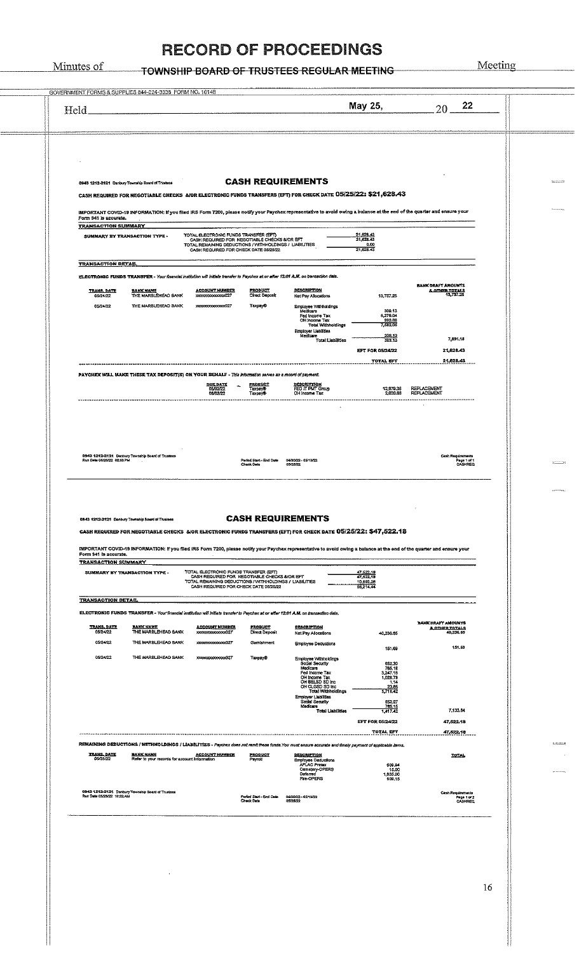# TOWNSHIP BOARD OF TRUSTEES REGULAR MEETING Meeting

Minutes of

16

| Held                                                                                                                                                              |                                                                   |                                                                                                                                                                                          |                                                       |                                                                                                                                                                                                                                                                                                                        | May 25,                                                                                                         | 20                                                           |  |
|-------------------------------------------------------------------------------------------------------------------------------------------------------------------|-------------------------------------------------------------------|------------------------------------------------------------------------------------------------------------------------------------------------------------------------------------------|-------------------------------------------------------|------------------------------------------------------------------------------------------------------------------------------------------------------------------------------------------------------------------------------------------------------------------------------------------------------------------------|-----------------------------------------------------------------------------------------------------------------|--------------------------------------------------------------|--|
| 0943 1212-2121 Danbury Township Board of Trustees                                                                                                                 |                                                                   |                                                                                                                                                                                          |                                                       | <b>CASH REQUIREMENTS</b><br>CASH REQUIRED FOR NEGOTIABLE CHECKS A/OR ELECTRONIC FUNDS TRANSFERS (EFT) FOR CHECK DATE 05/25/22: \$21,628.43                                                                                                                                                                             |                                                                                                                 |                                                              |  |
| Form 941 is accurate.<br><b>TRANSACTION SUMMARY</b>                                                                                                               |                                                                   |                                                                                                                                                                                          |                                                       | IMPORTANT COVID-19 INFORMATION: if you filed IRS Form 7200, please notify your Paychex representative to avoid owing a balance at the end of the quarter and ensure your                                                                                                                                               |                                                                                                                 |                                                              |  |
| SUMMARY BY TRANSACTION TYPE -                                                                                                                                     |                                                                   | TOTAL ELECTRONIC FUNDS TRANSFER (EFT)<br>CASH REQUIRED FOR NEGOTIABLE CHECKS MOR EFT<br>TOTAL REMAINING DEDUCTIONS / WITHHOLDINGS / LIABILITIES<br>CASH REQUIRED FOR CHECK DATE 05/25/22 |                                                       |                                                                                                                                                                                                                                                                                                                        | 21,628.43<br>21,628.43<br>0.00<br>21,628.43                                                                     |                                                              |  |
| <b>TRANSACTION DETAIL</b><br>ELECTRONIC FUNDS TRANSFER - Your financial institution will initiate transfer to Paychex at or after 12:01 A.M. on transaction date. |                                                                   |                                                                                                                                                                                          |                                                       |                                                                                                                                                                                                                                                                                                                        |                                                                                                                 |                                                              |  |
| <b>TRANS DATE</b><br>05/24/22<br>05/24/22                                                                                                                         | <b>BANK NAME</b><br>THE MARBLEHEAD BANK<br>THE MARBLEHEAD BANK    | <b>ACCOUNT NUMBER</b><br>100000000000000027<br>100000000000000027                                                                                                                        | <b>PRODUCT</b><br>Direct Deposit<br>Taxpay®           | DESCRIPTION<br>Net Pay Allocations<br>Employee Withholdings<br>Medicare<br>Fed Income Tax<br>OH Income Tax<br><b>Total Withholdings</b>                                                                                                                                                                                | 13,737.25<br>309.13<br>5.279.04<br>993.86<br>7.532.05                                                           | BANK DRAFT AMOUNTS<br><b>&amp; OTHER TOTALS</b><br>13,737.25 |  |
|                                                                                                                                                                   |                                                                   |                                                                                                                                                                                          |                                                       | <b>Employer Liabilities</b><br>Medicare<br><b>Total Liabilities</b>                                                                                                                                                                                                                                                    | 309.13<br>309.13                                                                                                | 7.891.18                                                     |  |
|                                                                                                                                                                   |                                                                   |                                                                                                                                                                                          |                                                       |                                                                                                                                                                                                                                                                                                                        | <b>EFT FOR 05/24/22</b><br><b>TOTAL EFT</b>                                                                     | 21,628.43<br>21,628.43                                       |  |
| PAYCHEX WILL MAKE THESE TAX DEPOSIT(S) ON YOUR BEHALF - This information serves as a record of payment.                                                           |                                                                   | <b>DUE DATE</b><br>06/02/22<br>06/02/22                                                                                                                                                  | <b>PRODUCT</b><br>Taxpayo<br>Taxpay®                  | DESCRIPTION<br>FED IT PMT Group<br>OH Income Tax                                                                                                                                                                                                                                                                       | 12,979.36<br>2,020.88                                                                                           | <b>REPLACEMENT</b><br><b>REPLACEMENT</b>                     |  |
| 0943 1212-2121 Danbury Township Board of Trustees<br>Run Date 05/23/22 02:53 PM                                                                                   |                                                                   |                                                                                                                                                                                          | Pariod Start-End Date<br>Check Date                   | 04/30/22 - 05/13/22<br>05/25/22                                                                                                                                                                                                                                                                                        |                                                                                                                 | Cash Regulaments<br>Page 1 of 1<br>CASHRED                   |  |
| 0543 1212-2121 Danbury Township Board of Trustees<br>Form 941 is accurate.<br><b>TRANSACTION SUMMARY</b><br>SUMMARY BY TRANSACTION TYPE -                         |                                                                   | TOTAL ELECTRONIC FUNDS TRANSFER (EFT)<br>CASH REQUIRED FOR NEGOTIABLE CHECKS & OR EFT<br>TOTAL REMAINING DEDUCTIONS / WITHHOLDINGS / LIABILITIES                                         |                                                       | <b>CASH REQUIREMENTS</b><br>CASH REQUIRED FOR NEGOTIABLE CHECKS & OR ELECTRONIC FUNDS TRANSFERS (EFT) FOR CHECK DATE 05/25/22: \$47,522.18<br>IMPORTANT COVID-19 INFORMATION: If you filed IRS Form 7200, please notify your Paychex representative to avoid owing a balance at the end of the quarter and ensure your | 47,522.18<br>47,522.18<br>10,692.26                                                                             |                                                              |  |
| <b>TRANSACTION DETAIL</b>                                                                                                                                         |                                                                   | CASH REQUIRED FOR CHECK DATE 05/25/22                                                                                                                                                    |                                                       |                                                                                                                                                                                                                                                                                                                        | 56,214.44                                                                                                       |                                                              |  |
|                                                                                                                                                                   | <b>BANK NAME</b>                                                  |                                                                                                                                                                                          |                                                       | ELECTRONIC FUNDS TRANSFER - Your financial institution will initiate transfer to Paychox at or after 12:01 A.M. on transaction date,                                                                                                                                                                                   |                                                                                                                 | RANK DRAFT AMOUNTS                                           |  |
| <b>TRANS, DATE</b><br>05/24/22<br>05/24/22                                                                                                                        | THE MARBLEHEAD BANK<br>THE MARBLEHEAD BANK                        | <b>ACCOUNT NUMBER</b><br>xxxxxxxxxxxxx027<br>xxxxxxxxxxxx027                                                                                                                             | <b>PRODUCT</b><br><b>Direct Deposit</b><br>Gamishment | <b>DESCRIPTION</b><br>Net Pay Allocations<br>Employee Deductions                                                                                                                                                                                                                                                       | 40,236.65                                                                                                       | <b>A OTHER TOTALS</b><br>40,236.65<br>151.59                 |  |
| 05/24/22                                                                                                                                                          | THE MARBLEHEAD BANK                                               | xxxxxxxxxxxxxxxx027                                                                                                                                                                      | Taxpay®                                               | Employee Withholdings<br>Social Security<br>Medicare<br>Fed Income Tax<br>OH Income Tax<br>OH BELSD SD Inc<br>OH CLCSD SO Inc<br>Total Withholdings<br><b>Employer Liabilities</b><br>Social Security<br>Medicare<br><b>Total Liabilities</b>                                                                          | 151.69<br>652.30<br>765.18<br>3,247.16<br>1,025.78<br>1.14<br>23.86<br>5,716.42<br>652.27<br>765.15<br>7,417,42 | 7,133.34                                                     |  |
|                                                                                                                                                                   |                                                                   |                                                                                                                                                                                          |                                                       |                                                                                                                                                                                                                                                                                                                        | EFT FOR 05/24/22<br><u> TOTAL EFT.</u>                                                                          | 47,522.18<br>47,522.18                                       |  |
|                                                                                                                                                                   |                                                                   |                                                                                                                                                                                          |                                                       | REMAINING DEDUCTIONS / WITHNOLDINGS / LIABILITIES - Paychax does not ramit thase funds. You must ensure ecourate and timely payment of applicable items.                                                                                                                                                               |                                                                                                                 |                                                              |  |
| <b>TRANS DATE</b><br>05/25/22                                                                                                                                     | <b>BANK NAME</b><br>Refer to your records for account information | <u>ACCOUNT NUMBER</u>                                                                                                                                                                    | PRODUCT<br>Payroli                                    | RESCRIETION<br>Employee Deductions<br><b>AFLAC Pretex</b><br>Cemetery-OPERS<br>Deferred<br>Fire-OPERS                                                                                                                                                                                                                  | 800.04<br>15.00<br>1,635.00<br>609.15                                                                           | TOTAL                                                        |  |
| 0343 1212-2121 Danbury Township Board of Trustees<br>Run Date 05/23/22, 10:32 AM                                                                                  |                                                                   |                                                                                                                                                                                          | Period Start - End Date<br><b>Check Date</b>          | 04/30/22~05/13/22<br>05/25/22                                                                                                                                                                                                                                                                                          |                                                                                                                 | Cash Requirements<br>Page 1 of 2<br>CASHREQ                  |  |
|                                                                                                                                                                   |                                                                   |                                                                                                                                                                                          |                                                       |                                                                                                                                                                                                                                                                                                                        |                                                                                                                 |                                                              |  |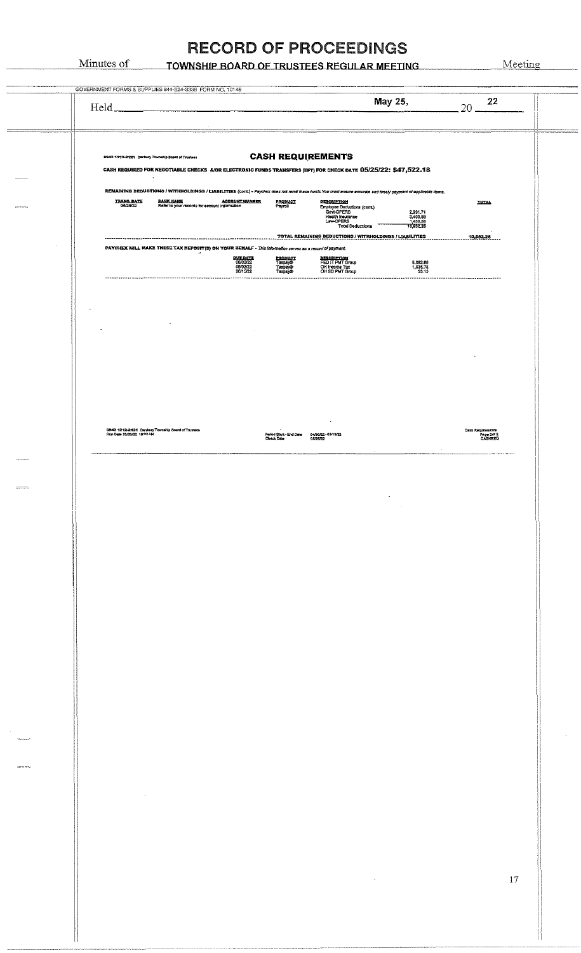TOWNSHIP BOARD OF TRUSTEES REGULAR MEETING

Minutes of

|                 | GOVERNMENT FORMS & SUPPLIES 844-224-3338 FORM NO. 10148                                                                                                                                                                                                                                                                                                                                                                                                         |                                |
|-----------------|-----------------------------------------------------------------------------------------------------------------------------------------------------------------------------------------------------------------------------------------------------------------------------------------------------------------------------------------------------------------------------------------------------------------------------------------------------------------|--------------------------------|
|                 | May 25,<br>Held_                                                                                                                                                                                                                                                                                                                                                                                                                                                | 22<br>20                       |
|                 | <b>CASH REQUIREMENTS</b><br>0943 1212-2121 Denbury Towrahlp Board of Trustees<br>CASH REQUIRED FOR NEGOTIABLE CHECKS A/OR ELECTRONIC FUNDS TRANSFERS (EFT) FOR CHECK DATE 05/25/22: \$47,522.18<br>$\bullet$                                                                                                                                                                                                                                                    |                                |
| <b>REPORTED</b> | REMAINING DEDUCTIONS / WITHHOLDINGS / LIABILITIES (cont.) - Psychax does not remit these funds. You must ensure accurate and timely psyment of applicable items.<br><b>TRANS, DATE</b><br>05/25/22<br><b>BANK NAME</b><br>Refer to your records for account information<br>DESCRIPTION<br>PRODUCT<br>Payroll<br>Employee Deductions (cont.)<br>Govt-OPERS<br>2,991.71<br>3,400.88<br>1,430.58<br>10,692.26<br>Health Insurance<br>Law-OPERS<br>Total Deductions | <b>TOTAL</b>                   |
|                 | PAYCHEX WILL MAKE TRESE TAX DEPOSIT(S) ON YOUR BEHALF - This information serves as a record of payment.<br><b>RVE RATE</b><br>06/02/22<br>06/02/22<br>PRODUCT<br>Taxpay®<br><b>BESCRIPTION</b><br>FED IT PMT Group<br>OH SD PMT Group<br>6,082.06<br>1,026.78<br>55.15<br>Taxpay®<br>Taxpay®<br>06/15/22<br><br>. <b>.</b> .<br>----------------------                                                                                                          | 10,692.26                      |
|                 |                                                                                                                                                                                                                                                                                                                                                                                                                                                                 |                                |
|                 |                                                                                                                                                                                                                                                                                                                                                                                                                                                                 |                                |
|                 | 0943 1212-2121 Canbury Township Soard of Trustees<br>Run Date 05/23/22 10:32 AM<br>Period Start - End Date<br>04/30/22 -05/13/22<br><b>Check Date</b><br>05/25/22<br>$\sim$                                                                                                                                                                                                                                                                                     | Cash Requirements<br>Page 2012 |
|                 |                                                                                                                                                                                                                                                                                                                                                                                                                                                                 |                                |
|                 |                                                                                                                                                                                                                                                                                                                                                                                                                                                                 |                                |
|                 |                                                                                                                                                                                                                                                                                                                                                                                                                                                                 |                                |
|                 |                                                                                                                                                                                                                                                                                                                                                                                                                                                                 |                                |
|                 |                                                                                                                                                                                                                                                                                                                                                                                                                                                                 |                                |
|                 |                                                                                                                                                                                                                                                                                                                                                                                                                                                                 |                                |
|                 |                                                                                                                                                                                                                                                                                                                                                                                                                                                                 |                                |
|                 |                                                                                                                                                                                                                                                                                                                                                                                                                                                                 |                                |
|                 |                                                                                                                                                                                                                                                                                                                                                                                                                                                                 |                                |
|                 |                                                                                                                                                                                                                                                                                                                                                                                                                                                                 |                                |
|                 |                                                                                                                                                                                                                                                                                                                                                                                                                                                                 |                                |
|                 |                                                                                                                                                                                                                                                                                                                                                                                                                                                                 |                                |
|                 |                                                                                                                                                                                                                                                                                                                                                                                                                                                                 |                                |
|                 |                                                                                                                                                                                                                                                                                                                                                                                                                                                                 | $17\,$                         |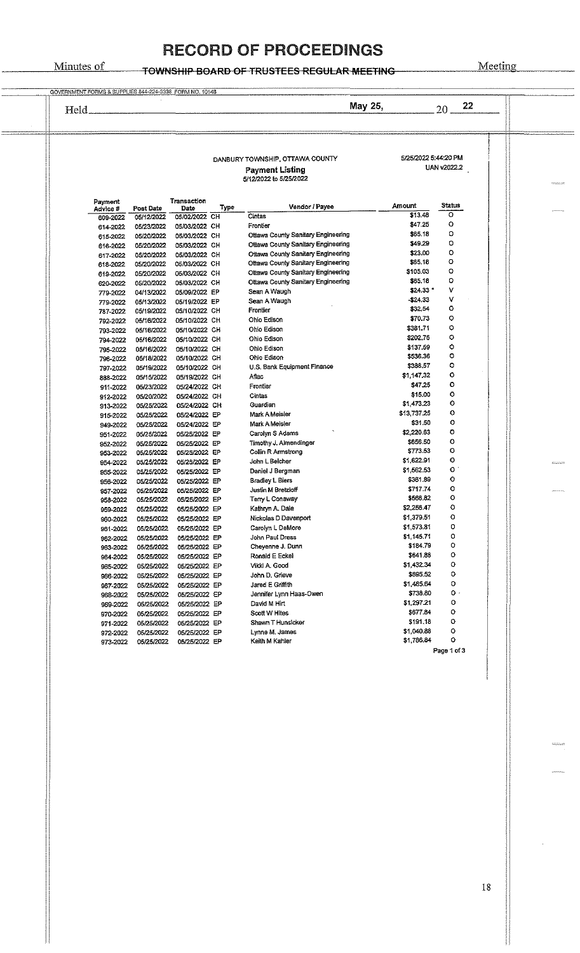#### Minutes of

# **RECORD OF PROCEEDINGS**

TOWNSHIP BOARD OF TRUSTEES REGULAR MEETING

| 22 | 20          |                          | May 25,                                                                  |      |                                |                          | Held.                |
|----|-------------|--------------------------|--------------------------------------------------------------------------|------|--------------------------------|--------------------------|----------------------|
|    | UAN v2022.2 | 5/25/2022 5:44:20 PM     | DANBURY TOWNSHIP, OTTAWA COUNTY<br><b>Payment Listing</b>                |      |                                |                          |                      |
|    |             |                          | 5/12/2022 to 5/25/2022                                                   |      |                                |                          |                      |
|    | Status      | Amount                   | Vendor / Payee                                                           | Type | Transaction<br>Date            | Post Date                | Payment<br>Advice #  |
|    | o<br>o      | \$13.48                  | Cintas                                                                   |      | 05/02/2022 CH                  | 05/12/2022               | 609-2022             |
|    | ٥           | \$47.25<br>\$65.18       | Frontier                                                                 |      | 05/03/2022 CH                  | 05/23/2022               | 614-2022             |
|    | Ō           | \$49.29                  | Ottawa County Sanitary Engineering<br>Ottawa County Sanitary Engineering |      | 05/03/2022 CH                  | 05/20/2022               | 615-2022             |
|    | ٥           | \$23.00                  | Ottawa County Sanitary Engineering                                       |      | 05/03/2022 CH<br>05/03/2022 CH | 05/20/2022               | 616-2022             |
|    | $\circ$     | \$65.18                  | Ottawa County Sanitary Engineering                                       |      | 05/03/2022 CH                  | 05/20/2022<br>05/20/2022 | 617-2022<br>618-2022 |
|    | $\circ$     | \$105.03                 | Ottawa County Sanitary Engineering                                       |      | 05/03/2022 CH                  | 05/20/2022               | 619-2022             |
|    | O           | \$65,18                  | Ottawa County Sanitary Engineering                                       |      | 05/03/2022 CH                  | 05/20/2022               | 620-2022             |
|    | ٧           | $$24,33$ *               | Sean A Waugh                                                             |      | 05/09/2022 EP                  | 04/13/2022               | 779-2022             |
|    | ۷           | \$24,33                  | Sean A Waugh                                                             |      | 05/19/2022 EP                  | 05/13/2022               | 779-2022             |
|    | o           | \$32,54                  | Frontier                                                                 |      | 05/10/2022 CH                  | 05/19/2022               | 787-2022             |
|    | o           | \$70.73                  | Ohio Edison                                                              |      | 05/10/2022 CH                  | 05/16/2022               | 792-2022             |
|    | o           | \$381.71                 | Ohio Edison                                                              |      | 05/10/2022 CH                  | 05/16/2022               | 793-2022             |
|    | o           | \$202.75                 | Ohio Edison                                                              |      | 05/10/2022 CH                  | 05/16/2022               | 794-2022             |
|    | o           | \$137.59                 | Ohio Edison                                                              |      | 05/10/2022 CH                  | 05/16/2022               | 795-2022             |
|    | о           | \$536.36                 | Ohio Edison                                                              |      | 05/10/2022 CH                  | 05/18/2022               | 796-2022             |
|    | о           | \$388,57                 | U.S. Bank Equipment Finance                                              |      | 05/10/2022 CH                  | 05/19/2022               | 797-2022             |
|    | o           | \$1,147.32               | Aflac                                                                    |      | 05/19/2022 CH                  | 05/15/2022               | 888-2022             |
|    | o           | \$47.25                  | Frontier                                                                 |      | 05/24/2022 CH                  | 05/23/2022               | 911-2022             |
|    | o           | \$15.00                  | Cintas                                                                   |      | 05/24/2022 CH                  | 05/20/2022               | 912-2022             |
|    | о<br>о      | \$1,473.23               | Guardian                                                                 |      | 05/24/2022 CH                  | 05/25/2022               | 913-2022             |
|    | o           | \$13,737.25<br>\$31.50   | Mark A Meisler                                                           |      | 05/24/2022 EP                  | 05/25/2022               | 915-2022             |
|    | о           | \$2,220.63               | Mark A Meisler                                                           |      | 05/24/2022 EP                  | 05/25/2022               | 949-2022             |
|    | o           | \$656.50                 | Carolyn S Adams                                                          |      | 05/25/2022 EP                  | 05/25/2022               | 951-2022             |
|    | о           | \$773.53                 | Timothy J. Almendinger<br>Collin R Armstrong                             |      | 05/25/2022 EP<br>05/25/2022 EP | 05/25/2022<br>05/25/2022 | 952-2022             |
|    | o           | \$1,622.91               | John L Belcher                                                           |      | 05/25/2022 EP                  | 05/25/2022               | 953-2022<br>954-2022 |
|    | $\circ$     | \$1,562.53               | Daniel J Bergman                                                         |      | 05/25/2022 EP                  | 05/25/2022               | 955-2022             |
|    | ٥           | \$361.89                 | Bradley L Biers                                                          |      | 05/25/2022 EP                  | 05/25/2022               | 956-2022             |
|    | ٥           | \$717.74                 | Justin M Bretzloff                                                       |      | 05/25/2022 EP                  | 05/25/2022               | 957-2022             |
|    | ٥           | \$566,82                 | Terry L Conaway                                                          |      | 05/25/2022 EP                  | 05/25/2022               | 958-2022             |
|    | Λ           | \$2,256.47               | Kathryn A. Dale                                                          |      | 05/25/2022 EP                  | 05/25/2022               | 959-2022             |
|    | о           | \$1,379.51               | Nickolas D Davenport                                                     |      | 05/25/2022 EP                  | 05/25/2022               | 960-2022             |
|    | о           | \$1,573.81               | Carolyn L DeMore                                                         |      | 05/25/2022 EP                  | 05/25/2022               | 961-2022             |
|    | ٥           | \$1,145.71               | John Paul Dress                                                          |      | 05/25/2022 EP                  | 05/25/2022               | 962-2022             |
|    | о           | \$184.79                 | Cheyenne J. Dunn                                                         |      | 05/25/2022 EP                  | 05/25/2022               | 963-2022             |
|    | о           | \$641.88                 | Ronald E Eckel                                                           |      | 05/25/2022 EP                  | 05/25/2022               | 964-2022             |
|    | ٥           | \$1,432.34               | Vikkl A. Good                                                            |      | 05/25/2022 EP                  | 05/25/2022               | 965-2022             |
|    | ٥           | \$695.52                 | John D. Grieve                                                           |      | 05/25/2022 EP                  | 05/25/2022               | 966-2022             |
|    | о           | \$1,485.64               | Jared E Griffith                                                         |      | 05/25/2022 EP                  | 05/25/2022               | 967-2022             |
|    | о.          | \$738.30                 | Jenniter Lynn Haas-Owen                                                  |      | 05/25/2022 EP                  | 05/25/2022               | 968-2022             |
|    | о           | \$1,297.21               | David M Hirt                                                             |      | 05/25/2022 EP                  | 05/25/2022               | 969-2022             |
|    | ٥           | \$677.84                 | Scott W Hites                                                            |      | 05/25/2022 EP                  | 05/25/2022               | 970-2022             |
|    | о           | \$191.18                 | Shawn T Hunslcker                                                        |      | 05/25/2022 EP                  | 05/25/2022               | 971-2022             |
|    | ٥<br>о      | \$1,040.88<br>\$1,786.84 | Lynne M. James                                                           |      | 05/25/2022 EP                  | 05/25/2022               | 972-2022             |
|    | Page 1 of 3 |                          | Keith M Kahler                                                           |      | 05/25/2022 EP                  | 05/25/2022               | 973-2022             |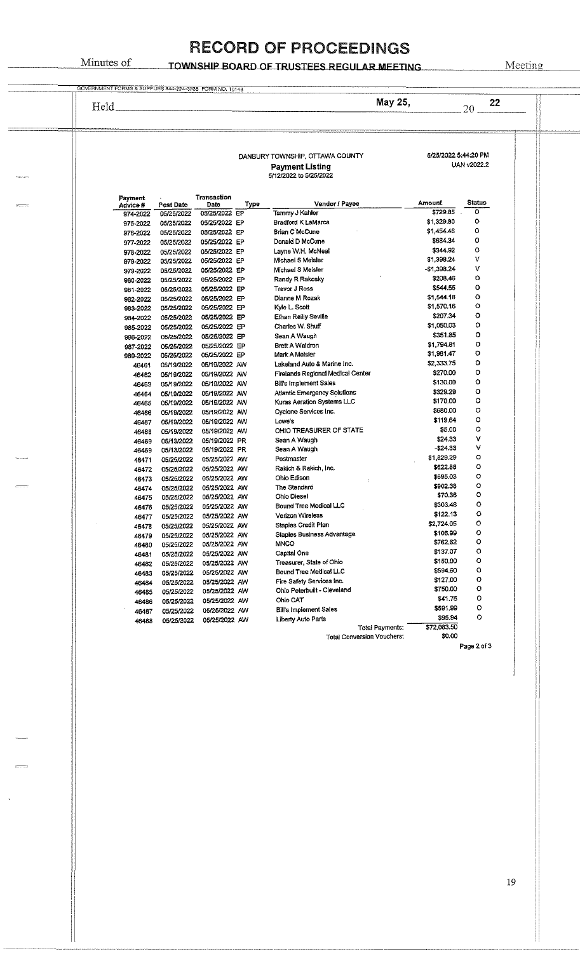#### Minutes of **TOWNSHIP BOARD OF TRUSTEES REGULAR MEETING**

| Held.                |                          |                                |      |                                                                                     | May 25,                 | 22<br>20      |
|----------------------|--------------------------|--------------------------------|------|-------------------------------------------------------------------------------------|-------------------------|---------------|
|                      |                          |                                |      | DANBURY TOWNSHIP, OTTAWA COUNTY<br><b>Payment Listing</b><br>5/12/2022 to 5/25/2022 | 5/25/2022 5:44:20 PM    | UAN v2022.2   |
| Payment<br>Advice #  | Post Date                | Transaction<br>Date            | Type | Vendor / Payee                                                                      | Amount                  | <b>Status</b> |
| 974-2022             | 05/25/2022               | 05/25/2022 EP                  |      | Tammy J Kahler                                                                      | \$729.85                | ٥             |
| 975-2022             | 05/25/2022               | 05/25/2022 EP                  |      | Bradford K LaMarca                                                                  | \$1,329.80              | ۰             |
| 976-2022             | 05/25/2022               | 05/25/2022 EP                  |      | <b>Srian C McCune</b>                                                               | \$1,454.46              | o             |
| 977-2022             | 05/25/2022               | 05/25/2022 EP                  |      | Donald D McCune                                                                     | \$684.34                | o             |
| 978-2022             | 05/25/2022               | 05/25/2022 EP                  |      | Layne W.H. McNeal                                                                   | \$344.92                | $\circ$       |
| 979-2022             | 05/25/2022               | 05/25/2022 EP                  |      | Michael S Meisler                                                                   | \$1,398.24              | v<br>v        |
| 979-2022             | 05/25/2022               | 05/25/2022 EP                  |      | Michael S Meisler                                                                   | -\$1,398.24<br>\$208,46 | $\circ$       |
| 980-2022             | 05/25/2022               | 05/25/2022 EP                  |      | Randy R Rakosky                                                                     | \$544.55                | o             |
| 981-2022             | 05/25/2022               | 05/25/2022 EP<br>05/25/2022 EP |      | <b>Trevor J Ross</b><br>Dianne M Rozak                                              | \$1,544.18              | ٥             |
| 982-2022<br>983-2022 | 05/25/2022<br>05/25/2022 | 05/25/2022 EP                  |      | Kyle L. Scott                                                                       | \$1,570.16              | Ó             |
| 984-2022             | 05/25/2022               | 05/25/2022 EP                  |      | Ethan Reilly Seville                                                                | \$207.34                | о             |
| 985-2022             | 05/25/2022               | 05/25/2022 EP                  |      | Charles W. Shuff                                                                    | \$1,050.03              | o             |
| 986-2022             | 05/25/2022               | 05/25/2022 EP                  |      | Sean A Waugh                                                                        | \$351.85                | o             |
| 987-2022             | 05/25/2022               | 05/25/2022 EP                  |      | Brett A Waldron                                                                     | \$1,794.81              | o             |
| 989-2022             | 05/25/2022               | 05/25/2022 EP                  |      | Mark A Meisler                                                                      | \$1,981.47              | o             |
| 46461                | 05/19/2022               | 05/19/2022 AW                  |      | Lakeland Auto & Marine Inc.                                                         | \$2,333.75              | о             |
| 46462                | 05/19/2022               | 05/19/2022 AW                  |      | Firelands Regional Medical Center                                                   | \$270.00                | о             |
| 46463                | 05/19/2022               | 05/19/2022 AW                  |      | <b>Bill's Implement Sales</b>                                                       | \$130.00                | ٥             |
| 46464                | 05/19/2022               | 05/19/2022 AW                  |      | Atlantic Emergency Solutions                                                        | \$329.29                | o             |
| 46465                | 05/19/2022               | 05/19/2022 AW                  |      | Kuras Aeration Systems LLC                                                          | \$170.00                | о             |
| 46466                | 05/19/2022               | 05/19/2022 AW                  |      | Cyclone Services Inc.                                                               | \$680.00                | o             |
| 46467                | 05/19/2022               | 05/19/2022 AW                  |      | Lowe's                                                                              | \$119.64                | о             |
| 46468                | 05/19/2022               | 05/19/2022 AW                  |      | OHIO TREASURER OF STATE                                                             | \$5.00                  | ۰             |
| 46469                | 05/13/2022               | 05/19/2022 PR                  |      | Sean A Waugh                                                                        | \$24.33<br>-\$24.33     | ۷<br>۷        |
| 46469                | 05/13/2022               | 05/19/2022 PR                  |      | Sean A Waugh                                                                        | \$1,829.29              | o             |
| 46471                | 05/25/2022               | 05/25/2022 AW                  |      | Postmaster                                                                          | \$622.88                | о             |
| 46472                | 05/25/2022               | 05/25/2022 AW<br>05/25/2022 AW |      | Rakich & Rakich, Inc.<br>Ohio Edison                                                | \$695.03                | $\circ$       |
| 46473<br>46474       | 05/25/2022<br>05/25/2022 | 05/25/2022 AW                  |      | The Standard                                                                        | \$902.38                | $\circ$       |
| 46475                | 05/25/2022               | 05/25/2022 AW                  |      | <b>Ohio Diesel</b>                                                                  | \$70.36                 | $\circ$       |
| 46476                | 05/25/2022               | 05/25/2022 AW                  |      | Bound Tree Medical LLC                                                              | \$303.48                | ٥             |
| 46477                | 05/25/2022               | 05/25/2022 AW                  |      | Verizon Wireless                                                                    | \$122.13                | ۰             |
| 46478                | 05/25/2022               | 05/25/2022 AW                  |      | Staples Credit Plan                                                                 | \$2,724.05              | ۰             |
| 46479                | 05/25/2022               | 05/25/2022 AW                  |      | Staples Business Advantage                                                          | \$106.99                | ۰             |
| 46480                | 05/25/2022               | 05/25/2022 AW                  |      | <b>MNCO</b>                                                                         | \$762.62                | o             |
| 46481                | 05/25/2022               | 05/25/2022 AW                  |      | Capital One                                                                         | \$137.07                | o             |
| 46482                | 05/25/2022               | 05/25/2022 AW                  |      | Treasurer, State of Ohio                                                            | \$150.00                | o             |
| 46483                | 05/25/2022               | 05/25/2022 AW                  |      | Bound Tree Medical LLC                                                              | \$594.60                | o             |
| 46484                | 05/25/2022               | 05/25/2022 AW                  |      | Fire Safety Services Inc.                                                           | \$127.00                | о             |
| 46485                | 05/25/2022               | 05/25/2022 AW                  |      | Ohio Peterbuilt - Cleveland                                                         | \$750.00                | о             |
| 46486                | 05/25/2022               | 05/25/2022 AW                  |      | Ohio CAT                                                                            | \$41.76                 | о<br>о        |
| 46487                | 05/25/2022               | 05/25/2022 AW                  |      | <b>Bill's Implement Sales</b>                                                       | \$591.99<br>\$95.94     | ٥             |
| 46488                | 05/25/2022               | 05/25/2022 AW                  |      | Liberty Auto Parts<br>Total Payments:                                               | \$72,083.50             |               |
|                      |                          |                                |      | <b>Total Conversion Vouchers:</b>                                                   | \$0.00                  |               |
|                      |                          |                                |      |                                                                                     |                         | Page 2 of 3   |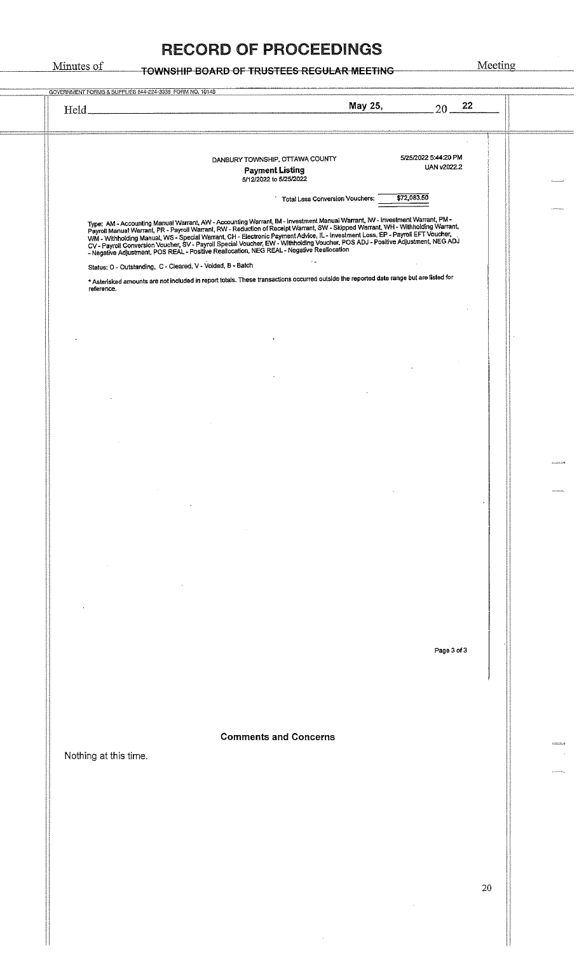| 5/25/2022 5:44:20 PM<br>DANBURY TOWNSHIP, OTTAWA COUNTY<br>UAN v2022.2<br><b>Payment Listing</b><br>5/12/2022 to 5/25/2022<br>\$72,083.50<br><b>Total Less Conversion Vouchers:</b><br>Type: AM - Accounting Manual Warrant, AW - Accounting Warrant, IM - Investment Manual Warrant, IW - Investment Warrant, PM -<br>Payroli Manual Warrant, PR - Payroll Warrant, RW - Reduction of Receipt Warrant, SW - Skipped War<br>WM - Withholding Manual, WS - Special Warrant, CH - Electronic Payment Advice, IL - Investment Loss, EP - Payroll EFT Voucher,<br>Status: O - Outstanding, C - Cleared, V - Voided, B - Batch<br>* Asterisked amounts are not included in report totals. These transactions occurred outside the reported date range but are listed for<br>reference.<br>$\blacksquare$<br>Page 3 of 3<br><b>Comments and Concerns</b><br>Nothing at this time.<br>20 | Held_ | May 25,<br>22<br>$20 -$ |  |
|-----------------------------------------------------------------------------------------------------------------------------------------------------------------------------------------------------------------------------------------------------------------------------------------------------------------------------------------------------------------------------------------------------------------------------------------------------------------------------------------------------------------------------------------------------------------------------------------------------------------------------------------------------------------------------------------------------------------------------------------------------------------------------------------------------------------------------------------------------------------------------------|-------|-------------------------|--|
|                                                                                                                                                                                                                                                                                                                                                                                                                                                                                                                                                                                                                                                                                                                                                                                                                                                                                   |       |                         |  |
|                                                                                                                                                                                                                                                                                                                                                                                                                                                                                                                                                                                                                                                                                                                                                                                                                                                                                   |       |                         |  |
|                                                                                                                                                                                                                                                                                                                                                                                                                                                                                                                                                                                                                                                                                                                                                                                                                                                                                   |       |                         |  |
|                                                                                                                                                                                                                                                                                                                                                                                                                                                                                                                                                                                                                                                                                                                                                                                                                                                                                   |       |                         |  |
|                                                                                                                                                                                                                                                                                                                                                                                                                                                                                                                                                                                                                                                                                                                                                                                                                                                                                   |       |                         |  |
|                                                                                                                                                                                                                                                                                                                                                                                                                                                                                                                                                                                                                                                                                                                                                                                                                                                                                   |       |                         |  |
|                                                                                                                                                                                                                                                                                                                                                                                                                                                                                                                                                                                                                                                                                                                                                                                                                                                                                   |       |                         |  |
|                                                                                                                                                                                                                                                                                                                                                                                                                                                                                                                                                                                                                                                                                                                                                                                                                                                                                   |       |                         |  |
|                                                                                                                                                                                                                                                                                                                                                                                                                                                                                                                                                                                                                                                                                                                                                                                                                                                                                   |       |                         |  |
|                                                                                                                                                                                                                                                                                                                                                                                                                                                                                                                                                                                                                                                                                                                                                                                                                                                                                   |       |                         |  |
|                                                                                                                                                                                                                                                                                                                                                                                                                                                                                                                                                                                                                                                                                                                                                                                                                                                                                   |       |                         |  |
|                                                                                                                                                                                                                                                                                                                                                                                                                                                                                                                                                                                                                                                                                                                                                                                                                                                                                   |       |                         |  |
|                                                                                                                                                                                                                                                                                                                                                                                                                                                                                                                                                                                                                                                                                                                                                                                                                                                                                   |       |                         |  |
|                                                                                                                                                                                                                                                                                                                                                                                                                                                                                                                                                                                                                                                                                                                                                                                                                                                                                   |       |                         |  |
|                                                                                                                                                                                                                                                                                                                                                                                                                                                                                                                                                                                                                                                                                                                                                                                                                                                                                   |       |                         |  |
|                                                                                                                                                                                                                                                                                                                                                                                                                                                                                                                                                                                                                                                                                                                                                                                                                                                                                   |       |                         |  |
|                                                                                                                                                                                                                                                                                                                                                                                                                                                                                                                                                                                                                                                                                                                                                                                                                                                                                   |       |                         |  |
|                                                                                                                                                                                                                                                                                                                                                                                                                                                                                                                                                                                                                                                                                                                                                                                                                                                                                   |       |                         |  |
|                                                                                                                                                                                                                                                                                                                                                                                                                                                                                                                                                                                                                                                                                                                                                                                                                                                                                   |       |                         |  |
|                                                                                                                                                                                                                                                                                                                                                                                                                                                                                                                                                                                                                                                                                                                                                                                                                                                                                   |       |                         |  |
|                                                                                                                                                                                                                                                                                                                                                                                                                                                                                                                                                                                                                                                                                                                                                                                                                                                                                   |       |                         |  |
|                                                                                                                                                                                                                                                                                                                                                                                                                                                                                                                                                                                                                                                                                                                                                                                                                                                                                   |       |                         |  |
|                                                                                                                                                                                                                                                                                                                                                                                                                                                                                                                                                                                                                                                                                                                                                                                                                                                                                   |       |                         |  |
|                                                                                                                                                                                                                                                                                                                                                                                                                                                                                                                                                                                                                                                                                                                                                                                                                                                                                   |       |                         |  |
|                                                                                                                                                                                                                                                                                                                                                                                                                                                                                                                                                                                                                                                                                                                                                                                                                                                                                   |       |                         |  |
|                                                                                                                                                                                                                                                                                                                                                                                                                                                                                                                                                                                                                                                                                                                                                                                                                                                                                   |       |                         |  |
|                                                                                                                                                                                                                                                                                                                                                                                                                                                                                                                                                                                                                                                                                                                                                                                                                                                                                   |       |                         |  |
|                                                                                                                                                                                                                                                                                                                                                                                                                                                                                                                                                                                                                                                                                                                                                                                                                                                                                   |       |                         |  |
|                                                                                                                                                                                                                                                                                                                                                                                                                                                                                                                                                                                                                                                                                                                                                                                                                                                                                   |       |                         |  |
|                                                                                                                                                                                                                                                                                                                                                                                                                                                                                                                                                                                                                                                                                                                                                                                                                                                                                   |       |                         |  |
|                                                                                                                                                                                                                                                                                                                                                                                                                                                                                                                                                                                                                                                                                                                                                                                                                                                                                   |       |                         |  |
|                                                                                                                                                                                                                                                                                                                                                                                                                                                                                                                                                                                                                                                                                                                                                                                                                                                                                   |       |                         |  |
|                                                                                                                                                                                                                                                                                                                                                                                                                                                                                                                                                                                                                                                                                                                                                                                                                                                                                   |       |                         |  |
|                                                                                                                                                                                                                                                                                                                                                                                                                                                                                                                                                                                                                                                                                                                                                                                                                                                                                   |       |                         |  |
|                                                                                                                                                                                                                                                                                                                                                                                                                                                                                                                                                                                                                                                                                                                                                                                                                                                                                   |       |                         |  |
|                                                                                                                                                                                                                                                                                                                                                                                                                                                                                                                                                                                                                                                                                                                                                                                                                                                                                   |       |                         |  |
|                                                                                                                                                                                                                                                                                                                                                                                                                                                                                                                                                                                                                                                                                                                                                                                                                                                                                   |       |                         |  |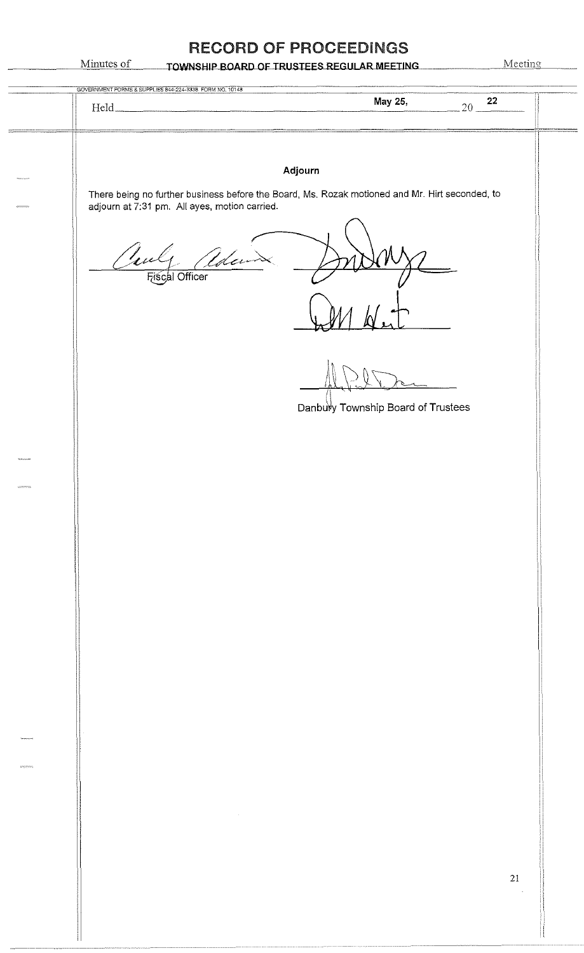|                  | GOVERNMENT FORMS & SUPPLIES 844-224-3338 FORM NO. 10148                                        | May 25,                            | 22<br>$20 -$             |
|------------------|------------------------------------------------------------------------------------------------|------------------------------------|--------------------------|
|                  | There being no further business before the Board, Ms. Rozak motioned and Mr. Hirt seconded, to | Adjourn                            |                          |
|                  | adjourn at 7:31 pm. All ayes, motion carried.<br>$\frac{1}{2}$<br>Udev                         |                                    |                          |
|                  | Fiscal Officer                                                                                 |                                    |                          |
|                  |                                                                                                |                                    |                          |
|                  |                                                                                                | Danbury Township Board of Trustees |                          |
| <b>MARINEZIA</b> |                                                                                                |                                    |                          |
|                  |                                                                                                |                                    |                          |
|                  |                                                                                                |                                    |                          |
|                  |                                                                                                |                                    |                          |
|                  |                                                                                                |                                    |                          |
| $\omega$         |                                                                                                |                                    |                          |
|                  |                                                                                                |                                    |                          |
|                  |                                                                                                |                                    | 21<br>$\bar{\mathbf{v}}$ |